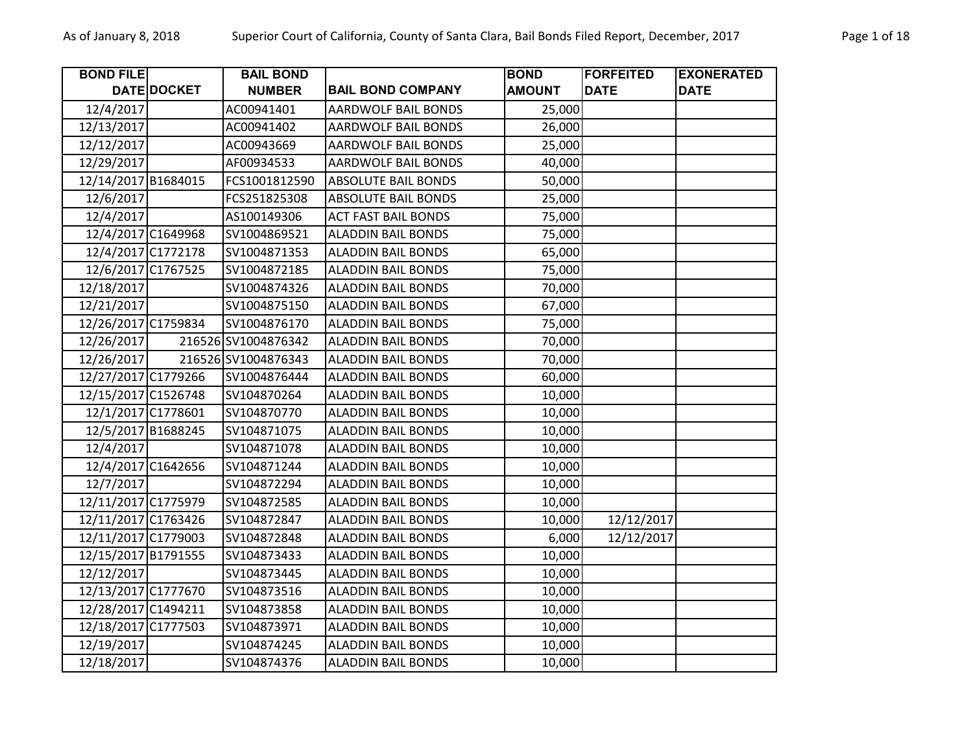| <b>BOND FILE</b>    |                    | <b>BAIL BOND</b>    |                            | <b>BOND</b>   | <b>FORFEITED</b> | <b>EXONERATED</b> |
|---------------------|--------------------|---------------------|----------------------------|---------------|------------------|-------------------|
|                     | <b>DATE DOCKET</b> | <b>NUMBER</b>       | <b>BAIL BOND COMPANY</b>   | <b>AMOUNT</b> | <b>DATE</b>      | <b>DATE</b>       |
| 12/4/2017           |                    | AC00941401          | <b>AARDWOLF BAIL BONDS</b> | 25,000        |                  |                   |
| 12/13/2017          |                    | AC00941402          | <b>AARDWOLF BAIL BONDS</b> | 26,000        |                  |                   |
| 12/12/2017          |                    | AC00943669          | <b>AARDWOLF BAIL BONDS</b> | 25,000        |                  |                   |
| 12/29/2017          |                    | AF00934533          | AARDWOLF BAIL BONDS        | 40,000        |                  |                   |
| 12/14/2017 B1684015 |                    | FCS1001812590       | <b>ABSOLUTE BAIL BONDS</b> | 50,000        |                  |                   |
| 12/6/2017           |                    | FCS251825308        | <b>ABSOLUTE BAIL BONDS</b> | 25,000        |                  |                   |
| 12/4/2017           |                    | AS100149306         | <b>ACT FAST BAIL BONDS</b> | 75,000        |                  |                   |
| 12/4/2017 C1649968  |                    | SV1004869521        | <b>ALADDIN BAIL BONDS</b>  | 75,000        |                  |                   |
| 12/4/2017 C1772178  |                    | SV1004871353        | <b>ALADDIN BAIL BONDS</b>  | 65,000        |                  |                   |
| 12/6/2017 C1767525  |                    | SV1004872185        | <b>ALADDIN BAIL BONDS</b>  | 75,000        |                  |                   |
| 12/18/2017          |                    | SV1004874326        | <b>ALADDIN BAIL BONDS</b>  | 70,000        |                  |                   |
| 12/21/2017          |                    | SV1004875150        | <b>ALADDIN BAIL BONDS</b>  | 67,000        |                  |                   |
| 12/26/2017 C1759834 |                    | SV1004876170        | <b>ALADDIN BAIL BONDS</b>  | 75,000        |                  |                   |
| 12/26/2017          |                    | 216526 SV1004876342 | <b>ALADDIN BAIL BONDS</b>  | 70,000        |                  |                   |
| 12/26/2017          |                    | 216526 SV1004876343 | <b>ALADDIN BAIL BONDS</b>  | 70,000        |                  |                   |
| 12/27/2017 C1779266 |                    | SV1004876444        | <b>ALADDIN BAIL BONDS</b>  | 60,000        |                  |                   |
| 12/15/2017 C1526748 |                    | SV104870264         | <b>ALADDIN BAIL BONDS</b>  | 10,000        |                  |                   |
| 12/1/2017 C1778601  |                    | SV104870770         | <b>ALADDIN BAIL BONDS</b>  | 10,000        |                  |                   |
| 12/5/2017 B1688245  |                    | SV104871075         | <b>ALADDIN BAIL BONDS</b>  | 10,000        |                  |                   |
| 12/4/2017           |                    | SV104871078         | <b>ALADDIN BAIL BONDS</b>  | 10,000        |                  |                   |
| 12/4/2017 C1642656  |                    | SV104871244         | <b>ALADDIN BAIL BONDS</b>  | 10,000        |                  |                   |
| 12/7/2017           |                    | SV104872294         | <b>ALADDIN BAIL BONDS</b>  | 10,000        |                  |                   |
| 12/11/2017 C1775979 |                    | SV104872585         | <b>ALADDIN BAIL BONDS</b>  | 10,000        |                  |                   |
| 12/11/2017 C1763426 |                    | SV104872847         | <b>ALADDIN BAIL BONDS</b>  | 10,000        | 12/12/2017       |                   |
| 12/11/2017 C1779003 |                    | SV104872848         | <b>ALADDIN BAIL BONDS</b>  | 6,000         | 12/12/2017       |                   |
| 12/15/2017 B1791555 |                    | SV104873433         | <b>ALADDIN BAIL BONDS</b>  | 10,000        |                  |                   |
| 12/12/2017          |                    | SV104873445         | <b>ALADDIN BAIL BONDS</b>  | 10,000        |                  |                   |
| 12/13/2017 C1777670 |                    | SV104873516         | <b>ALADDIN BAIL BONDS</b>  | 10,000        |                  |                   |
| 12/28/2017 C1494211 |                    | SV104873858         | <b>ALADDIN BAIL BONDS</b>  | 10,000        |                  |                   |
| 12/18/2017 C1777503 |                    | SV104873971         | <b>ALADDIN BAIL BONDS</b>  | 10,000        |                  |                   |
| 12/19/2017          |                    | SV104874245         | <b>ALADDIN BAIL BONDS</b>  | 10,000        |                  |                   |
| 12/18/2017          |                    | SV104874376         | <b>ALADDIN BAIL BONDS</b>  | 10,000        |                  |                   |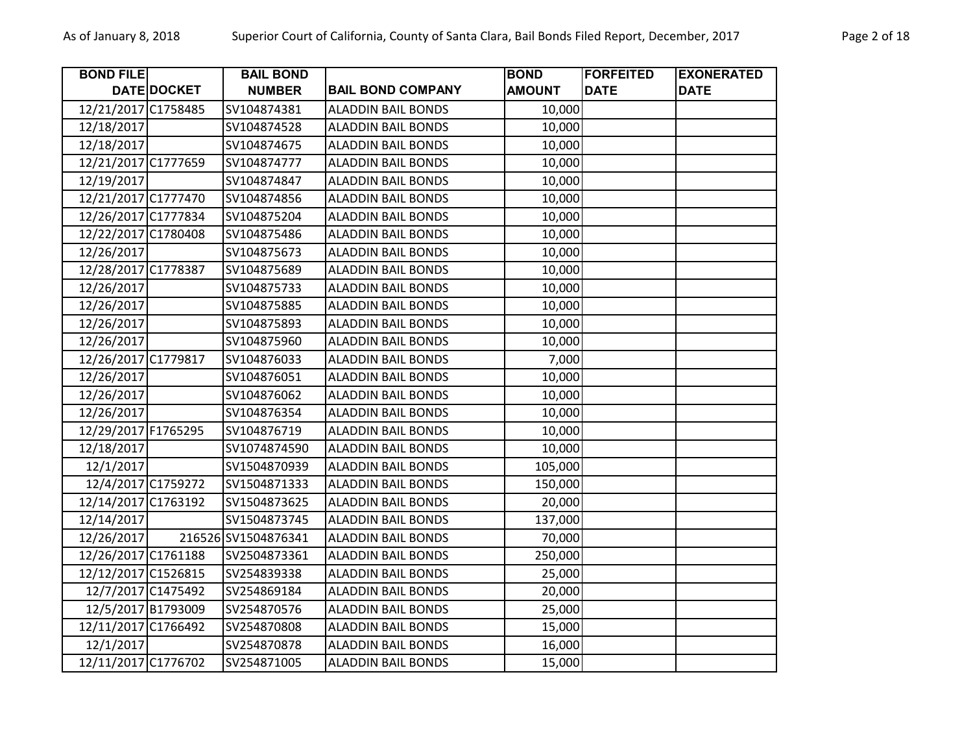| <b>BOND FILE</b>    |                    | <b>BAIL BOND</b>    |                           | <b>BOND</b>   | <b>FORFEITED</b> | <b>EXONERATED</b> |
|---------------------|--------------------|---------------------|---------------------------|---------------|------------------|-------------------|
|                     | <b>DATE DOCKET</b> | <b>NUMBER</b>       | <b>BAIL BOND COMPANY</b>  | <b>AMOUNT</b> | <b>DATE</b>      | <b>DATE</b>       |
| 12/21/2017 C1758485 |                    | SV104874381         | <b>ALADDIN BAIL BONDS</b> | 10,000        |                  |                   |
| 12/18/2017          |                    | SV104874528         | <b>ALADDIN BAIL BONDS</b> | 10,000        |                  |                   |
| 12/18/2017          |                    | SV104874675         | <b>ALADDIN BAIL BONDS</b> | 10,000        |                  |                   |
| 12/21/2017 C1777659 |                    | SV104874777         | <b>ALADDIN BAIL BONDS</b> | 10,000        |                  |                   |
| 12/19/2017          |                    | SV104874847         | <b>ALADDIN BAIL BONDS</b> | 10,000        |                  |                   |
| 12/21/2017 C1777470 |                    | SV104874856         | <b>ALADDIN BAIL BONDS</b> | 10,000        |                  |                   |
| 12/26/2017 C1777834 |                    | SV104875204         | <b>ALADDIN BAIL BONDS</b> | 10,000        |                  |                   |
| 12/22/2017 C1780408 |                    | SV104875486         | <b>ALADDIN BAIL BONDS</b> | 10,000        |                  |                   |
| 12/26/2017          |                    | SV104875673         | <b>ALADDIN BAIL BONDS</b> | 10,000        |                  |                   |
| 12/28/2017 C1778387 |                    | SV104875689         | <b>ALADDIN BAIL BONDS</b> | 10,000        |                  |                   |
| 12/26/2017          |                    | SV104875733         | <b>ALADDIN BAIL BONDS</b> | 10,000        |                  |                   |
| 12/26/2017          |                    | SV104875885         | <b>ALADDIN BAIL BONDS</b> | 10,000        |                  |                   |
| 12/26/2017          |                    | SV104875893         | <b>ALADDIN BAIL BONDS</b> | 10,000        |                  |                   |
| 12/26/2017          |                    | SV104875960         | <b>ALADDIN BAIL BONDS</b> | 10,000        |                  |                   |
| 12/26/2017 C1779817 |                    | SV104876033         | <b>ALADDIN BAIL BONDS</b> | 7,000         |                  |                   |
| 12/26/2017          |                    | SV104876051         | <b>ALADDIN BAIL BONDS</b> | 10,000        |                  |                   |
| 12/26/2017          |                    | SV104876062         | <b>ALADDIN BAIL BONDS</b> | 10,000        |                  |                   |
| 12/26/2017          |                    | SV104876354         | <b>ALADDIN BAIL BONDS</b> | 10,000        |                  |                   |
| 12/29/2017 F1765295 |                    | SV104876719         | <b>ALADDIN BAIL BONDS</b> | 10,000        |                  |                   |
| 12/18/2017          |                    | SV1074874590        | <b>ALADDIN BAIL BONDS</b> | 10,000        |                  |                   |
| 12/1/2017           |                    | SV1504870939        | <b>ALADDIN BAIL BONDS</b> | 105,000       |                  |                   |
| 12/4/2017 C1759272  |                    | SV1504871333        | <b>ALADDIN BAIL BONDS</b> | 150,000       |                  |                   |
| 12/14/2017 C1763192 |                    | SV1504873625        | <b>ALADDIN BAIL BONDS</b> | 20,000        |                  |                   |
| 12/14/2017          |                    | SV1504873745        | <b>ALADDIN BAIL BONDS</b> | 137,000       |                  |                   |
| 12/26/2017          |                    | 216526 SV1504876341 | <b>ALADDIN BAIL BONDS</b> | 70,000        |                  |                   |
| 12/26/2017 C1761188 |                    | SV2504873361        | <b>ALADDIN BAIL BONDS</b> | 250,000       |                  |                   |
| 12/12/2017 C1526815 |                    | SV254839338         | <b>ALADDIN BAIL BONDS</b> | 25,000        |                  |                   |
| 12/7/2017 C1475492  |                    | SV254869184         | <b>ALADDIN BAIL BONDS</b> | 20,000        |                  |                   |
| 12/5/2017 B1793009  |                    | SV254870576         | <b>ALADDIN BAIL BONDS</b> | 25,000        |                  |                   |
| 12/11/2017 C1766492 |                    | SV254870808         | <b>ALADDIN BAIL BONDS</b> | 15,000        |                  |                   |
| 12/1/2017           |                    | SV254870878         | <b>ALADDIN BAIL BONDS</b> | 16,000        |                  |                   |
| 12/11/2017 C1776702 |                    | SV254871005         | <b>ALADDIN BAIL BONDS</b> | 15,000        |                  |                   |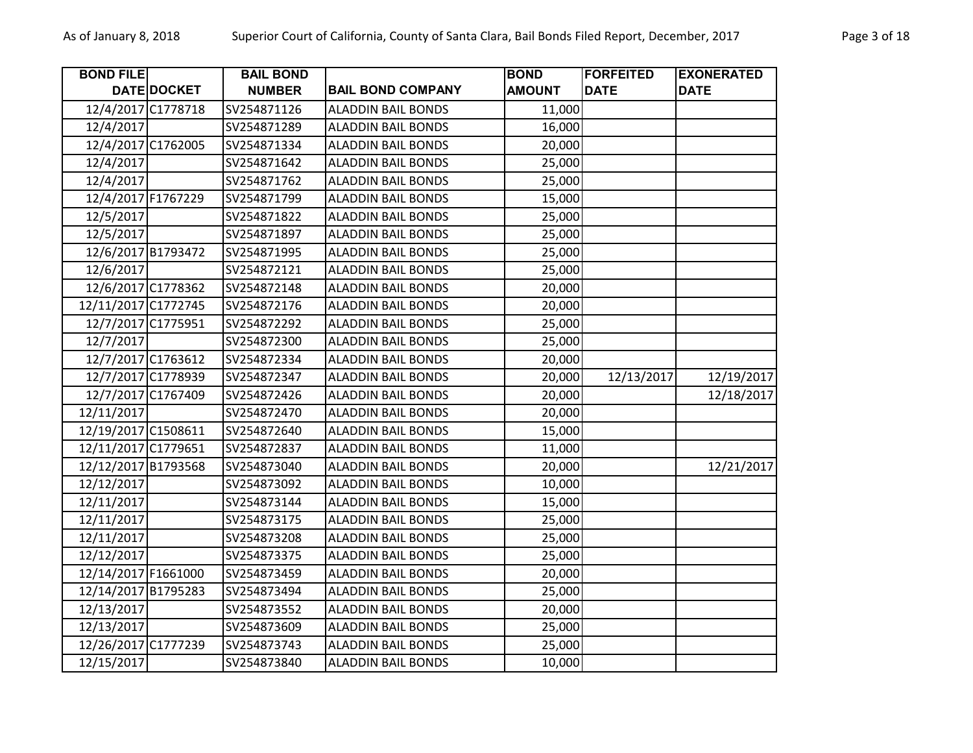| <b>BOND FILE</b>    |                    | <b>BAIL BOND</b> |                           | <b>BOND</b>   | <b>FORFEITED</b> | <b>EXONERATED</b> |
|---------------------|--------------------|------------------|---------------------------|---------------|------------------|-------------------|
|                     | <b>DATE DOCKET</b> | <b>NUMBER</b>    | <b>BAIL BOND COMPANY</b>  | <b>AMOUNT</b> | <b>DATE</b>      | <b>DATE</b>       |
| 12/4/2017 C1778718  |                    | SV254871126      | <b>ALADDIN BAIL BONDS</b> | 11,000        |                  |                   |
| 12/4/2017           |                    | SV254871289      | <b>ALADDIN BAIL BONDS</b> | 16,000        |                  |                   |
| 12/4/2017 C1762005  |                    | SV254871334      | <b>ALADDIN BAIL BONDS</b> | 20,000        |                  |                   |
| 12/4/2017           |                    | SV254871642      | <b>ALADDIN BAIL BONDS</b> | 25,000        |                  |                   |
| 12/4/2017           |                    | SV254871762      | <b>ALADDIN BAIL BONDS</b> | 25,000        |                  |                   |
| 12/4/2017 F1767229  |                    | SV254871799      | <b>ALADDIN BAIL BONDS</b> | 15,000        |                  |                   |
| 12/5/2017           |                    | SV254871822      | <b>ALADDIN BAIL BONDS</b> | 25,000        |                  |                   |
| 12/5/2017           |                    | SV254871897      | <b>ALADDIN BAIL BONDS</b> | 25,000        |                  |                   |
| 12/6/2017 B1793472  |                    | SV254871995      | <b>ALADDIN BAIL BONDS</b> | 25,000        |                  |                   |
| 12/6/2017           |                    | SV254872121      | <b>ALADDIN BAIL BONDS</b> | 25,000        |                  |                   |
| 12/6/2017 C1778362  |                    | SV254872148      | <b>ALADDIN BAIL BONDS</b> | 20,000        |                  |                   |
| 12/11/2017 C1772745 |                    | SV254872176      | <b>ALADDIN BAIL BONDS</b> | 20,000        |                  |                   |
| 12/7/2017 C1775951  |                    | SV254872292      | <b>ALADDIN BAIL BONDS</b> | 25,000        |                  |                   |
| 12/7/2017           |                    | SV254872300      | <b>ALADDIN BAIL BONDS</b> | 25,000        |                  |                   |
| 12/7/2017 C1763612  |                    | SV254872334      | <b>ALADDIN BAIL BONDS</b> | 20,000        |                  |                   |
| 12/7/2017 C1778939  |                    | SV254872347      | <b>ALADDIN BAIL BONDS</b> | 20,000        | 12/13/2017       | 12/19/2017        |
| 12/7/2017 C1767409  |                    | SV254872426      | <b>ALADDIN BAIL BONDS</b> | 20,000        |                  | 12/18/2017        |
| 12/11/2017          |                    | SV254872470      | <b>ALADDIN BAIL BONDS</b> | 20,000        |                  |                   |
| 12/19/2017 C1508611 |                    | SV254872640      | <b>ALADDIN BAIL BONDS</b> | 15,000        |                  |                   |
| 12/11/2017 C1779651 |                    | SV254872837      | <b>ALADDIN BAIL BONDS</b> | 11,000        |                  |                   |
| 12/12/2017 B1793568 |                    | SV254873040      | <b>ALADDIN BAIL BONDS</b> | 20,000        |                  | 12/21/2017        |
| 12/12/2017          |                    | SV254873092      | <b>ALADDIN BAIL BONDS</b> | 10,000        |                  |                   |
| 12/11/2017          |                    | SV254873144      | <b>ALADDIN BAIL BONDS</b> | 15,000        |                  |                   |
| 12/11/2017          |                    | SV254873175      | <b>ALADDIN BAIL BONDS</b> | 25,000        |                  |                   |
| 12/11/2017          |                    | SV254873208      | <b>ALADDIN BAIL BONDS</b> | 25,000        |                  |                   |
| 12/12/2017          |                    | SV254873375      | <b>ALADDIN BAIL BONDS</b> | 25,000        |                  |                   |
| 12/14/2017 F1661000 |                    | SV254873459      | <b>ALADDIN BAIL BONDS</b> | 20,000        |                  |                   |
| 12/14/2017 B1795283 |                    | SV254873494      | <b>ALADDIN BAIL BONDS</b> | 25,000        |                  |                   |
| 12/13/2017          |                    | SV254873552      | <b>ALADDIN BAIL BONDS</b> | 20,000        |                  |                   |
| 12/13/2017          |                    | SV254873609      | <b>ALADDIN BAIL BONDS</b> | 25,000        |                  |                   |
| 12/26/2017 C1777239 |                    | SV254873743      | <b>ALADDIN BAIL BONDS</b> | 25,000        |                  |                   |
| 12/15/2017          |                    | SV254873840      | <b>ALADDIN BAIL BONDS</b> | 10,000        |                  |                   |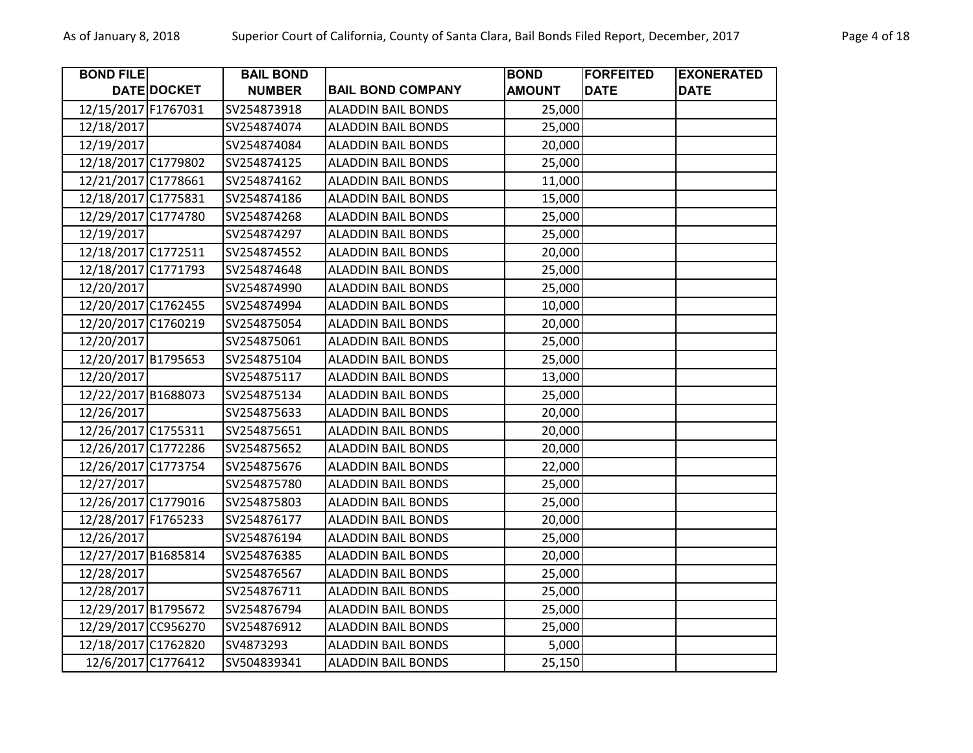| <b>BOND FILE</b>    |             | <b>BAIL BOND</b> |                           | <b>BOND</b>   | <b>FORFEITED</b> | <b>EXONERATED</b> |
|---------------------|-------------|------------------|---------------------------|---------------|------------------|-------------------|
|                     | DATE DOCKET | <b>NUMBER</b>    | <b>BAIL BOND COMPANY</b>  | <b>AMOUNT</b> | <b>DATE</b>      | <b>DATE</b>       |
| 12/15/2017 F1767031 |             | SV254873918      | <b>ALADDIN BAIL BONDS</b> | 25,000        |                  |                   |
| 12/18/2017          |             | SV254874074      | <b>ALADDIN BAIL BONDS</b> | 25,000        |                  |                   |
| 12/19/2017          |             | SV254874084      | <b>ALADDIN BAIL BONDS</b> | 20,000        |                  |                   |
| 12/18/2017 C1779802 |             | SV254874125      | <b>ALADDIN BAIL BONDS</b> | 25,000        |                  |                   |
| 12/21/2017 C1778661 |             | SV254874162      | <b>ALADDIN BAIL BONDS</b> | 11,000        |                  |                   |
| 12/18/2017 C1775831 |             | SV254874186      | <b>ALADDIN BAIL BONDS</b> | 15,000        |                  |                   |
| 12/29/2017 C1774780 |             | SV254874268      | <b>ALADDIN BAIL BONDS</b> | 25,000        |                  |                   |
| 12/19/2017          |             | SV254874297      | <b>ALADDIN BAIL BONDS</b> | 25,000        |                  |                   |
| 12/18/2017 C1772511 |             | SV254874552      | <b>ALADDIN BAIL BONDS</b> | 20,000        |                  |                   |
| 12/18/2017 C1771793 |             | SV254874648      | <b>ALADDIN BAIL BONDS</b> | 25,000        |                  |                   |
| 12/20/2017          |             | SV254874990      | <b>ALADDIN BAIL BONDS</b> | 25,000        |                  |                   |
| 12/20/2017 C1762455 |             | SV254874994      | <b>ALADDIN BAIL BONDS</b> | 10,000        |                  |                   |
| 12/20/2017 C1760219 |             | SV254875054      | <b>ALADDIN BAIL BONDS</b> | 20,000        |                  |                   |
| 12/20/2017          |             | SV254875061      | <b>ALADDIN BAIL BONDS</b> | 25,000        |                  |                   |
| 12/20/2017 B1795653 |             | SV254875104      | <b>ALADDIN BAIL BONDS</b> | 25,000        |                  |                   |
| 12/20/2017          |             | SV254875117      | <b>ALADDIN BAIL BONDS</b> | 13,000        |                  |                   |
| 12/22/2017 B1688073 |             | SV254875134      | <b>ALADDIN BAIL BONDS</b> | 25,000        |                  |                   |
| 12/26/2017          |             | SV254875633      | <b>ALADDIN BAIL BONDS</b> | 20,000        |                  |                   |
| 12/26/2017 C1755311 |             | SV254875651      | <b>ALADDIN BAIL BONDS</b> | 20,000        |                  |                   |
| 12/26/2017 C1772286 |             | SV254875652      | <b>ALADDIN BAIL BONDS</b> | 20,000        |                  |                   |
| 12/26/2017 C1773754 |             | SV254875676      | <b>ALADDIN BAIL BONDS</b> | 22,000        |                  |                   |
| 12/27/2017          |             | SV254875780      | <b>ALADDIN BAIL BONDS</b> | 25,000        |                  |                   |
| 12/26/2017 C1779016 |             | SV254875803      | <b>ALADDIN BAIL BONDS</b> | 25,000        |                  |                   |
| 12/28/2017 F1765233 |             | SV254876177      | <b>ALADDIN BAIL BONDS</b> | 20,000        |                  |                   |
| 12/26/2017          |             | SV254876194      | <b>ALADDIN BAIL BONDS</b> | 25,000        |                  |                   |
| 12/27/2017 B1685814 |             | SV254876385      | <b>ALADDIN BAIL BONDS</b> | 20,000        |                  |                   |
| 12/28/2017          |             | SV254876567      | <b>ALADDIN BAIL BONDS</b> | 25,000        |                  |                   |
| 12/28/2017          |             | SV254876711      | <b>ALADDIN BAIL BONDS</b> | 25,000        |                  |                   |
| 12/29/2017 B1795672 |             | SV254876794      | <b>ALADDIN BAIL BONDS</b> | 25,000        |                  |                   |
| 12/29/2017 CC956270 |             | SV254876912      | <b>ALADDIN BAIL BONDS</b> | 25,000        |                  |                   |
| 12/18/2017 C1762820 |             | SV4873293        | <b>ALADDIN BAIL BONDS</b> | 5,000         |                  |                   |
| 12/6/2017 C1776412  |             | SV504839341      | <b>ALADDIN BAIL BONDS</b> | 25,150        |                  |                   |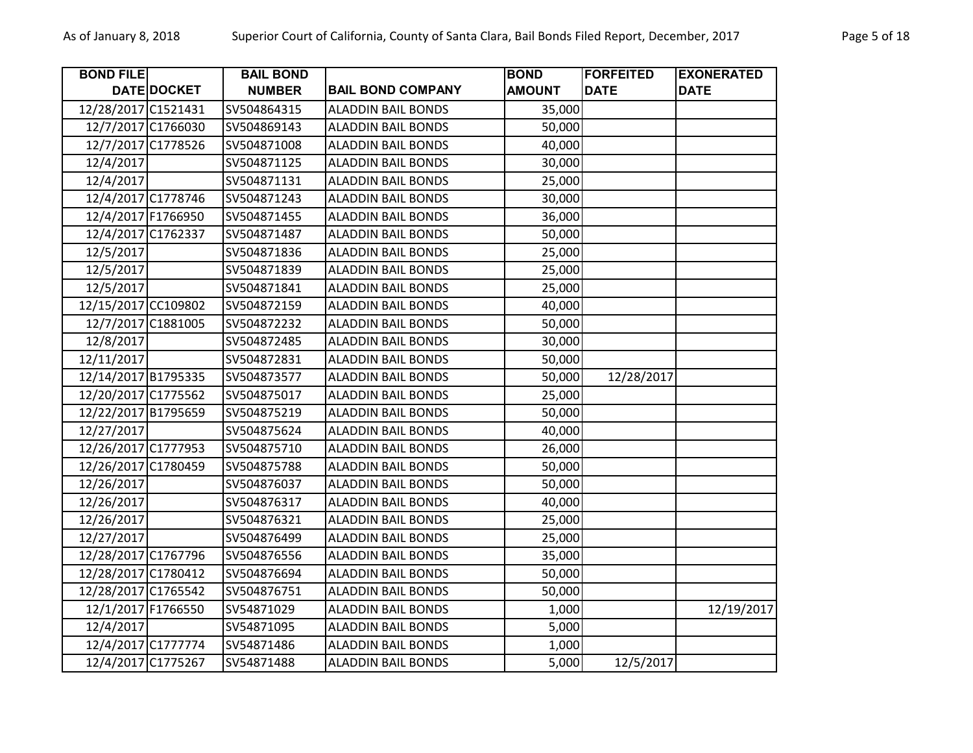| <b>BOND FILE</b>    |             | <b>BAIL BOND</b> |                           | <b>BOND</b>   | <b>FORFEITED</b> | <b>EXONERATED</b> |
|---------------------|-------------|------------------|---------------------------|---------------|------------------|-------------------|
|                     | DATE DOCKET | <b>NUMBER</b>    | <b>BAIL BOND COMPANY</b>  | <b>AMOUNT</b> | <b>DATE</b>      | <b>DATE</b>       |
| 12/28/2017 C1521431 |             | SV504864315      | <b>ALADDIN BAIL BONDS</b> | 35,000        |                  |                   |
| 12/7/2017 C1766030  |             | SV504869143      | <b>ALADDIN BAIL BONDS</b> | 50,000        |                  |                   |
| 12/7/2017 C1778526  |             | SV504871008      | <b>ALADDIN BAIL BONDS</b> | 40,000        |                  |                   |
| 12/4/2017           |             | SV504871125      | <b>ALADDIN BAIL BONDS</b> | 30,000        |                  |                   |
| 12/4/2017           |             | SV504871131      | <b>ALADDIN BAIL BONDS</b> | 25,000        |                  |                   |
| 12/4/2017 C1778746  |             | SV504871243      | <b>ALADDIN BAIL BONDS</b> | 30,000        |                  |                   |
| 12/4/2017 F1766950  |             | SV504871455      | <b>ALADDIN BAIL BONDS</b> | 36,000        |                  |                   |
| 12/4/2017 C1762337  |             | SV504871487      | <b>ALADDIN BAIL BONDS</b> | 50,000        |                  |                   |
| 12/5/2017           |             | SV504871836      | <b>ALADDIN BAIL BONDS</b> | 25,000        |                  |                   |
| 12/5/2017           |             | SV504871839      | <b>ALADDIN BAIL BONDS</b> | 25,000        |                  |                   |
| 12/5/2017           |             | SV504871841      | <b>ALADDIN BAIL BONDS</b> | 25,000        |                  |                   |
| 12/15/2017 CC109802 |             | SV504872159      | <b>ALADDIN BAIL BONDS</b> | 40,000        |                  |                   |
| 12/7/2017 C1881005  |             | SV504872232      | <b>ALADDIN BAIL BONDS</b> | 50,000        |                  |                   |
| 12/8/2017           |             | SV504872485      | <b>ALADDIN BAIL BONDS</b> | 30,000        |                  |                   |
| 12/11/2017          |             | SV504872831      | <b>ALADDIN BAIL BONDS</b> | 50,000        |                  |                   |
| 12/14/2017 B1795335 |             | SV504873577      | <b>ALADDIN BAIL BONDS</b> | 50,000        | 12/28/2017       |                   |
| 12/20/2017 C1775562 |             | SV504875017      | <b>ALADDIN BAIL BONDS</b> | 25,000        |                  |                   |
| 12/22/2017 B1795659 |             | SV504875219      | <b>ALADDIN BAIL BONDS</b> | 50,000        |                  |                   |
| 12/27/2017          |             | SV504875624      | <b>ALADDIN BAIL BONDS</b> | 40,000        |                  |                   |
| 12/26/2017 C1777953 |             | SV504875710      | <b>ALADDIN BAIL BONDS</b> | 26,000        |                  |                   |
| 12/26/2017 C1780459 |             | SV504875788      | <b>ALADDIN BAIL BONDS</b> | 50,000        |                  |                   |
| 12/26/2017          |             | SV504876037      | <b>ALADDIN BAIL BONDS</b> | 50,000        |                  |                   |
| 12/26/2017          |             | SV504876317      | <b>ALADDIN BAIL BONDS</b> | 40,000        |                  |                   |
| 12/26/2017          |             | SV504876321      | <b>ALADDIN BAIL BONDS</b> | 25,000        |                  |                   |
| 12/27/2017          |             | SV504876499      | <b>ALADDIN BAIL BONDS</b> | 25,000        |                  |                   |
| 12/28/2017 C1767796 |             | SV504876556      | <b>ALADDIN BAIL BONDS</b> | 35,000        |                  |                   |
| 12/28/2017 C1780412 |             | SV504876694      | <b>ALADDIN BAIL BONDS</b> | 50,000        |                  |                   |
| 12/28/2017 C1765542 |             | SV504876751      | <b>ALADDIN BAIL BONDS</b> | 50,000        |                  |                   |
| 12/1/2017 F1766550  |             | SV54871029       | <b>ALADDIN BAIL BONDS</b> | 1,000         |                  | 12/19/2017        |
| 12/4/2017           |             | SV54871095       | <b>ALADDIN BAIL BONDS</b> | 5,000         |                  |                   |
| 12/4/2017 C1777774  |             | SV54871486       | <b>ALADDIN BAIL BONDS</b> | 1,000         |                  |                   |
| 12/4/2017 C1775267  |             | SV54871488       | <b>ALADDIN BAIL BONDS</b> | 5,000         | 12/5/2017        |                   |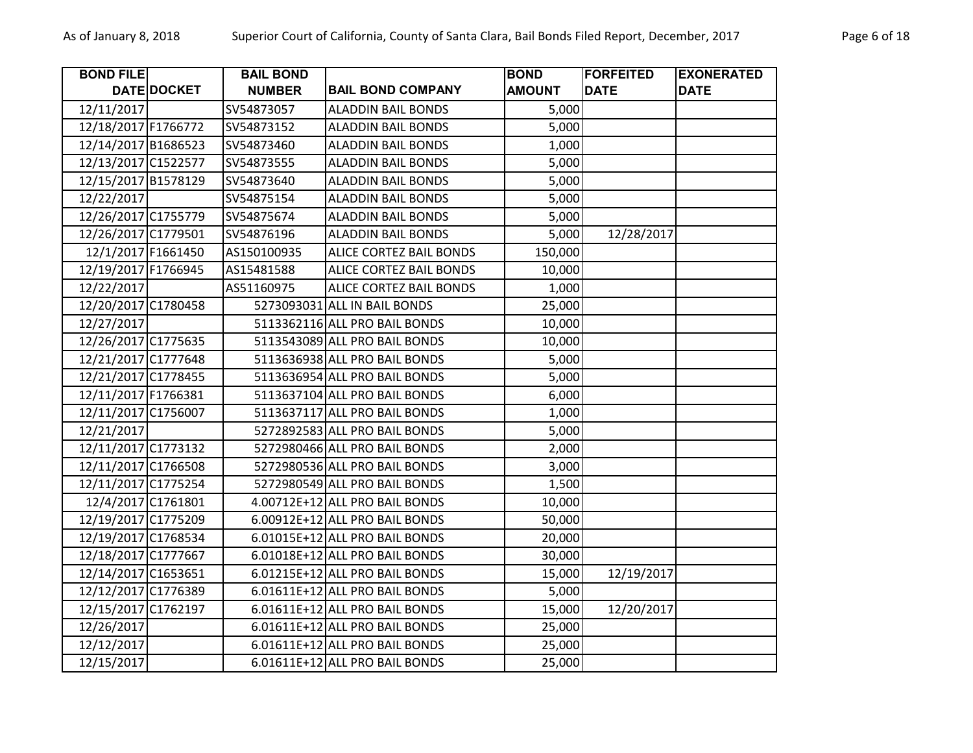| <b>BOND FILE</b>    |             | <b>BAIL BOND</b> |                                | <b>BOND</b>   | <b>FORFEITED</b> | <b>EXONERATED</b> |
|---------------------|-------------|------------------|--------------------------------|---------------|------------------|-------------------|
|                     | DATE DOCKET | <b>NUMBER</b>    | <b>BAIL BOND COMPANY</b>       | <b>AMOUNT</b> | <b>DATE</b>      | <b>DATE</b>       |
| 12/11/2017          |             | SV54873057       | <b>ALADDIN BAIL BONDS</b>      | 5,000         |                  |                   |
| 12/18/2017 F1766772 |             | SV54873152       | <b>ALADDIN BAIL BONDS</b>      | 5,000         |                  |                   |
| 12/14/2017 B1686523 |             | SV54873460       | <b>ALADDIN BAIL BONDS</b>      | 1,000         |                  |                   |
| 12/13/2017 C1522577 |             | SV54873555       | <b>ALADDIN BAIL BONDS</b>      | 5,000         |                  |                   |
| 12/15/2017 B1578129 |             | SV54873640       | <b>ALADDIN BAIL BONDS</b>      | 5,000         |                  |                   |
| 12/22/2017          |             | SV54875154       | <b>ALADDIN BAIL BONDS</b>      | 5,000         |                  |                   |
| 12/26/2017 C1755779 |             | SV54875674       | <b>ALADDIN BAIL BONDS</b>      | 5,000         |                  |                   |
| 12/26/2017 C1779501 |             | SV54876196       | <b>ALADDIN BAIL BONDS</b>      | 5,000         | 12/28/2017       |                   |
| 12/1/2017 F1661450  |             | AS150100935      | ALICE CORTEZ BAIL BONDS        | 150,000       |                  |                   |
| 12/19/2017 F1766945 |             | AS15481588       | ALICE CORTEZ BAIL BONDS        | 10,000        |                  |                   |
| 12/22/2017          |             | AS51160975       | ALICE CORTEZ BAIL BONDS        | 1,000         |                  |                   |
| 12/20/2017 C1780458 |             |                  | 5273093031 ALL IN BAIL BONDS   | 25,000        |                  |                   |
| 12/27/2017          |             |                  | 5113362116 ALL PRO BAIL BONDS  | 10,000        |                  |                   |
| 12/26/2017 C1775635 |             |                  | 5113543089 ALL PRO BAIL BONDS  | 10,000        |                  |                   |
| 12/21/2017 C1777648 |             |                  | 5113636938 ALL PRO BAIL BONDS  | 5,000         |                  |                   |
| 12/21/2017 C1778455 |             |                  | 5113636954 ALL PRO BAIL BONDS  | 5,000         |                  |                   |
| 12/11/2017 F1766381 |             |                  | 5113637104 ALL PRO BAIL BONDS  | 6,000         |                  |                   |
| 12/11/2017 C1756007 |             |                  | 5113637117 ALL PRO BAIL BONDS  | 1,000         |                  |                   |
| 12/21/2017          |             |                  | 5272892583 ALL PRO BAIL BONDS  | 5,000         |                  |                   |
| 12/11/2017 C1773132 |             |                  | 5272980466 ALL PRO BAIL BONDS  | 2,000         |                  |                   |
| 12/11/2017 C1766508 |             |                  | 5272980536 ALL PRO BAIL BONDS  | 3,000         |                  |                   |
| 12/11/2017 C1775254 |             |                  | 5272980549 ALL PRO BAIL BONDS  | 1,500         |                  |                   |
| 12/4/2017 C1761801  |             |                  | 4.00712E+12 ALL PRO BAIL BONDS | 10,000        |                  |                   |
| 12/19/2017 C1775209 |             |                  | 6.00912E+12 ALL PRO BAIL BONDS | 50,000        |                  |                   |
| 12/19/2017 C1768534 |             |                  | 6.01015E+12 ALL PRO BAIL BONDS | 20,000        |                  |                   |
| 12/18/2017 C1777667 |             |                  | 6.01018E+12 ALL PRO BAIL BONDS | 30,000        |                  |                   |
| 12/14/2017 C1653651 |             |                  | 6.01215E+12 ALL PRO BAIL BONDS | 15,000        | 12/19/2017       |                   |
| 12/12/2017 C1776389 |             |                  | 6.01611E+12 ALL PRO BAIL BONDS | 5,000         |                  |                   |
| 12/15/2017 C1762197 |             |                  | 6.01611E+12 ALL PRO BAIL BONDS | 15,000        | 12/20/2017       |                   |
| 12/26/2017          |             |                  | 6.01611E+12 ALL PRO BAIL BONDS | 25,000        |                  |                   |
| 12/12/2017          |             |                  | 6.01611E+12 ALL PRO BAIL BONDS | 25,000        |                  |                   |
| 12/15/2017          |             |                  | 6.01611E+12 ALL PRO BAIL BONDS | 25,000        |                  |                   |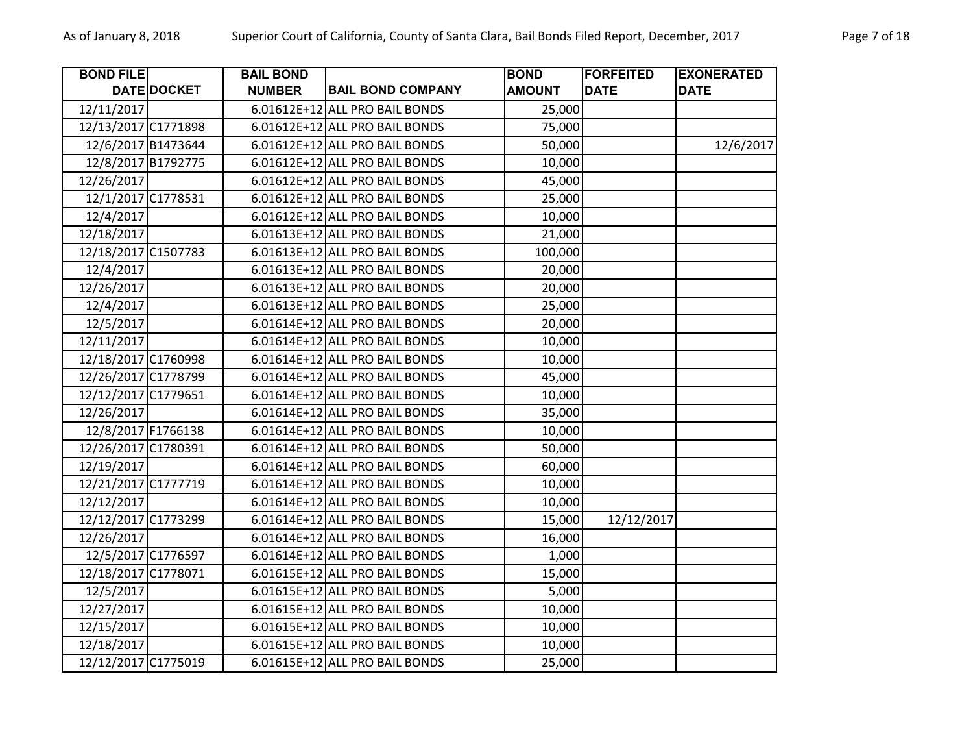| <b>BOND FILE</b>    |             | <b>BAIL BOND</b> |                                | <b>BOND</b>   | <b>FORFEITED</b> | <b>EXONERATED</b> |
|---------------------|-------------|------------------|--------------------------------|---------------|------------------|-------------------|
|                     | DATE DOCKET | <b>NUMBER</b>    | <b>BAIL BOND COMPANY</b>       | <b>AMOUNT</b> | <b>DATE</b>      | <b>DATE</b>       |
| 12/11/2017          |             |                  | 6.01612E+12 ALL PRO BAIL BONDS | 25,000        |                  |                   |
| 12/13/2017 C1771898 |             |                  | 6.01612E+12 ALL PRO BAIL BONDS | 75,000        |                  |                   |
| 12/6/2017 B1473644  |             |                  | 6.01612E+12 ALL PRO BAIL BONDS | 50,000        |                  | 12/6/2017         |
| 12/8/2017 B1792775  |             |                  | 6.01612E+12 ALL PRO BAIL BONDS | 10,000        |                  |                   |
| 12/26/2017          |             |                  | 6.01612E+12 ALL PRO BAIL BONDS | 45,000        |                  |                   |
| 12/1/2017 C1778531  |             |                  | 6.01612E+12 ALL PRO BAIL BONDS | 25,000        |                  |                   |
| 12/4/2017           |             |                  | 6.01612E+12 ALL PRO BAIL BONDS | 10,000        |                  |                   |
| 12/18/2017          |             |                  | 6.01613E+12 ALL PRO BAIL BONDS | 21,000        |                  |                   |
| 12/18/2017 C1507783 |             |                  | 6.01613E+12 ALL PRO BAIL BONDS | 100,000       |                  |                   |
| 12/4/2017           |             |                  | 6.01613E+12 ALL PRO BAIL BONDS | 20,000        |                  |                   |
| 12/26/2017          |             |                  | 6.01613E+12 ALL PRO BAIL BONDS | 20,000        |                  |                   |
| 12/4/2017           |             |                  | 6.01613E+12 ALL PRO BAIL BONDS | 25,000        |                  |                   |
| 12/5/2017           |             |                  | 6.01614E+12 ALL PRO BAIL BONDS | 20,000        |                  |                   |
| 12/11/2017          |             |                  | 6.01614E+12 ALL PRO BAIL BONDS | 10,000        |                  |                   |
| 12/18/2017 C1760998 |             |                  | 6.01614E+12 ALL PRO BAIL BONDS | 10,000        |                  |                   |
| 12/26/2017 C1778799 |             |                  | 6.01614E+12 ALL PRO BAIL BONDS | 45,000        |                  |                   |
| 12/12/2017 C1779651 |             |                  | 6.01614E+12 ALL PRO BAIL BONDS | 10,000        |                  |                   |
| 12/26/2017          |             |                  | 6.01614E+12 ALL PRO BAIL BONDS | 35,000        |                  |                   |
| 12/8/2017 F1766138  |             |                  | 6.01614E+12 ALL PRO BAIL BONDS | 10,000        |                  |                   |
| 12/26/2017 C1780391 |             |                  | 6.01614E+12 ALL PRO BAIL BONDS | 50,000        |                  |                   |
| 12/19/2017          |             |                  | 6.01614E+12 ALL PRO BAIL BONDS | 60,000        |                  |                   |
| 12/21/2017 C1777719 |             |                  | 6.01614E+12 ALL PRO BAIL BONDS | 10,000        |                  |                   |
| 12/12/2017          |             |                  | 6.01614E+12 ALL PRO BAIL BONDS | 10,000        |                  |                   |
| 12/12/2017 C1773299 |             |                  | 6.01614E+12 ALL PRO BAIL BONDS | 15,000        | 12/12/2017       |                   |
| 12/26/2017          |             |                  | 6.01614E+12 ALL PRO BAIL BONDS | 16,000        |                  |                   |
| 12/5/2017 C1776597  |             |                  | 6.01614E+12 ALL PRO BAIL BONDS | 1,000         |                  |                   |
| 12/18/2017 C1778071 |             |                  | 6.01615E+12 ALL PRO BAIL BONDS | 15,000        |                  |                   |
| 12/5/2017           |             |                  | 6.01615E+12 ALL PRO BAIL BONDS | 5,000         |                  |                   |
| 12/27/2017          |             |                  | 6.01615E+12 ALL PRO BAIL BONDS | 10,000        |                  |                   |
| 12/15/2017          |             |                  | 6.01615E+12 ALL PRO BAIL BONDS | 10,000        |                  |                   |
| 12/18/2017          |             |                  | 6.01615E+12 ALL PRO BAIL BONDS | 10,000        |                  |                   |
| 12/12/2017 C1775019 |             |                  | 6.01615E+12 ALL PRO BAIL BONDS | 25,000        |                  |                   |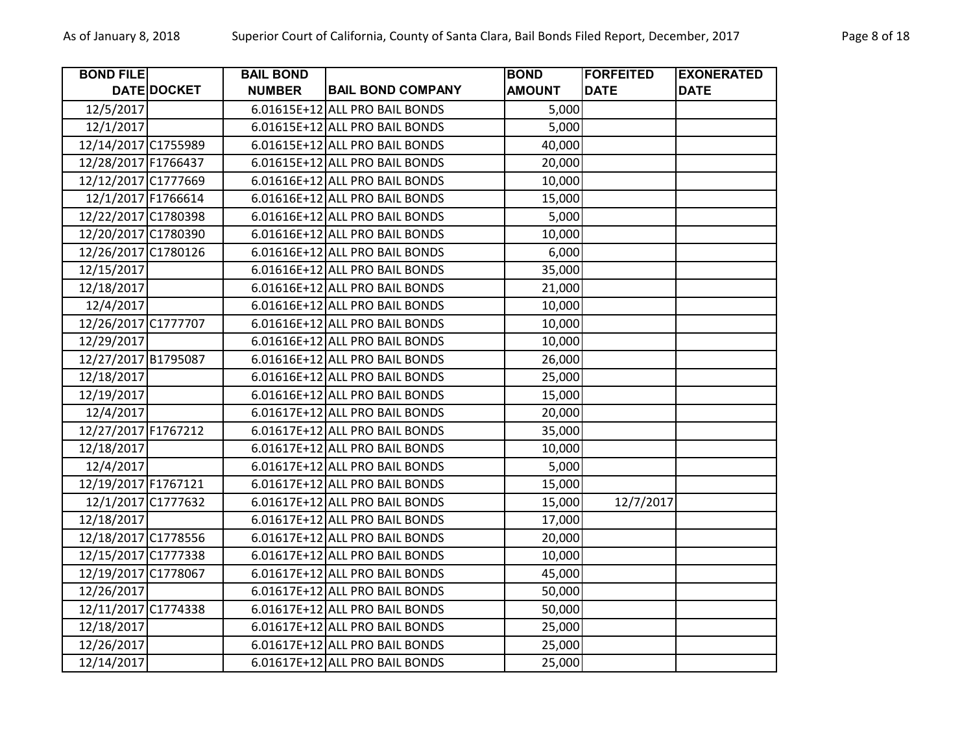| <b>BOND FILE</b>    |                    | <b>BAIL BOND</b> |                                | <b>BOND</b>   | <b>FORFEITED</b> | <b>EXONERATED</b> |
|---------------------|--------------------|------------------|--------------------------------|---------------|------------------|-------------------|
|                     | <b>DATE DOCKET</b> | <b>NUMBER</b>    | <b>BAIL BOND COMPANY</b>       | <b>AMOUNT</b> | <b>DATE</b>      | <b>DATE</b>       |
| 12/5/2017           |                    |                  | 6.01615E+12 ALL PRO BAIL BONDS | 5,000         |                  |                   |
| 12/1/2017           |                    |                  | 6.01615E+12 ALL PRO BAIL BONDS | 5,000         |                  |                   |
| 12/14/2017 C1755989 |                    |                  | 6.01615E+12 ALL PRO BAIL BONDS | 40,000        |                  |                   |
| 12/28/2017 F1766437 |                    |                  | 6.01615E+12 ALL PRO BAIL BONDS | 20,000        |                  |                   |
| 12/12/2017 C1777669 |                    |                  | 6.01616E+12 ALL PRO BAIL BONDS | 10,000        |                  |                   |
| 12/1/2017 F1766614  |                    |                  | 6.01616E+12 ALL PRO BAIL BONDS | 15,000        |                  |                   |
| 12/22/2017 C1780398 |                    |                  | 6.01616E+12 ALL PRO BAIL BONDS | 5,000         |                  |                   |
| 12/20/2017 C1780390 |                    |                  | 6.01616E+12 ALL PRO BAIL BONDS | 10,000        |                  |                   |
| 12/26/2017 C1780126 |                    |                  | 6.01616E+12 ALL PRO BAIL BONDS | 6,000         |                  |                   |
| 12/15/2017          |                    |                  | 6.01616E+12 ALL PRO BAIL BONDS | 35,000        |                  |                   |
| 12/18/2017          |                    |                  | 6.01616E+12 ALL PRO BAIL BONDS | 21,000        |                  |                   |
| 12/4/2017           |                    |                  | 6.01616E+12 ALL PRO BAIL BONDS | 10,000        |                  |                   |
| 12/26/2017 C1777707 |                    |                  | 6.01616E+12 ALL PRO BAIL BONDS | 10,000        |                  |                   |
| 12/29/2017          |                    |                  | 6.01616E+12 ALL PRO BAIL BONDS | 10,000        |                  |                   |
| 12/27/2017 B1795087 |                    |                  | 6.01616E+12 ALL PRO BAIL BONDS | 26,000        |                  |                   |
| 12/18/2017          |                    |                  | 6.01616E+12 ALL PRO BAIL BONDS | 25,000        |                  |                   |
| 12/19/2017          |                    |                  | 6.01616E+12 ALL PRO BAIL BONDS | 15,000        |                  |                   |
| 12/4/2017           |                    |                  | 6.01617E+12 ALL PRO BAIL BONDS | 20,000        |                  |                   |
| 12/27/2017 F1767212 |                    |                  | 6.01617E+12 ALL PRO BAIL BONDS | 35,000        |                  |                   |
| 12/18/2017          |                    |                  | 6.01617E+12 ALL PRO BAIL BONDS | 10,000        |                  |                   |
| 12/4/2017           |                    |                  | 6.01617E+12 ALL PRO BAIL BONDS | 5,000         |                  |                   |
| 12/19/2017 F1767121 |                    |                  | 6.01617E+12 ALL PRO BAIL BONDS | 15,000        |                  |                   |
| 12/1/2017 C1777632  |                    |                  | 6.01617E+12 ALL PRO BAIL BONDS | 15,000        | 12/7/2017        |                   |
| 12/18/2017          |                    |                  | 6.01617E+12 ALL PRO BAIL BONDS | 17,000        |                  |                   |
| 12/18/2017 C1778556 |                    |                  | 6.01617E+12 ALL PRO BAIL BONDS | 20,000        |                  |                   |
| 12/15/2017 C1777338 |                    |                  | 6.01617E+12 ALL PRO BAIL BONDS | 10,000        |                  |                   |
| 12/19/2017 C1778067 |                    |                  | 6.01617E+12 ALL PRO BAIL BONDS | 45,000        |                  |                   |
| 12/26/2017          |                    |                  | 6.01617E+12 ALL PRO BAIL BONDS | 50,000        |                  |                   |
| 12/11/2017 C1774338 |                    |                  | 6.01617E+12 ALL PRO BAIL BONDS | 50,000        |                  |                   |
| 12/18/2017          |                    |                  | 6.01617E+12 ALL PRO BAIL BONDS | 25,000        |                  |                   |
| 12/26/2017          |                    |                  | 6.01617E+12 ALL PRO BAIL BONDS | 25,000        |                  |                   |
| 12/14/2017          |                    |                  | 6.01617E+12 ALL PRO BAIL BONDS | 25,000        |                  |                   |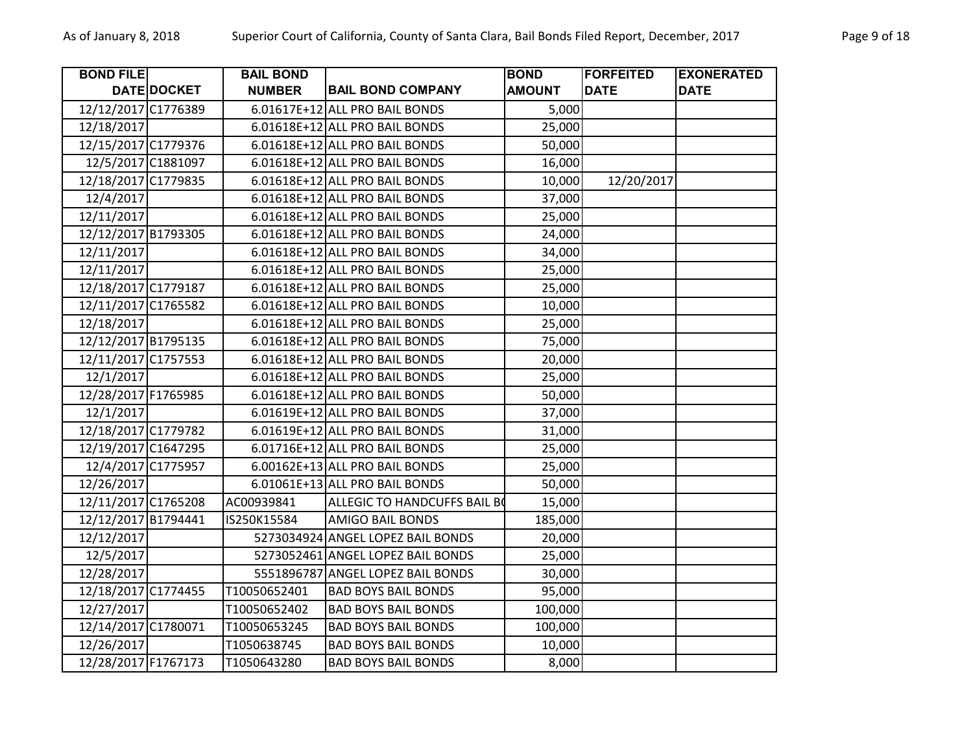| <b>BOND FILE</b>    |                    | <b>BAIL BOND</b> |                                     | <b>BOND</b>   | <b>FORFEITED</b> | <b>EXONERATED</b> |
|---------------------|--------------------|------------------|-------------------------------------|---------------|------------------|-------------------|
|                     | <b>DATE DOCKET</b> | <b>NUMBER</b>    | <b>BAIL BOND COMPANY</b>            | <b>AMOUNT</b> | <b>DATE</b>      | <b>DATE</b>       |
| 12/12/2017 C1776389 |                    |                  | 6.01617E+12 ALL PRO BAIL BONDS      | 5,000         |                  |                   |
| 12/18/2017          |                    |                  | 6.01618E+12 ALL PRO BAIL BONDS      | 25,000        |                  |                   |
| 12/15/2017 C1779376 |                    |                  | 6.01618E+12 ALL PRO BAIL BONDS      | 50,000        |                  |                   |
| 12/5/2017 C1881097  |                    |                  | 6.01618E+12 ALL PRO BAIL BONDS      | 16,000        |                  |                   |
| 12/18/2017 C1779835 |                    |                  | 6.01618E+12 ALL PRO BAIL BONDS      | 10,000        | 12/20/2017       |                   |
| 12/4/2017           |                    |                  | 6.01618E+12 ALL PRO BAIL BONDS      | 37,000        |                  |                   |
| 12/11/2017          |                    |                  | 6.01618E+12 ALL PRO BAIL BONDS      | 25,000        |                  |                   |
| 12/12/2017 B1793305 |                    |                  | 6.01618E+12 ALL PRO BAIL BONDS      | 24,000        |                  |                   |
| 12/11/2017          |                    |                  | 6.01618E+12 ALL PRO BAIL BONDS      | 34,000        |                  |                   |
| 12/11/2017          |                    |                  | 6.01618E+12 ALL PRO BAIL BONDS      | 25,000        |                  |                   |
| 12/18/2017 C1779187 |                    |                  | 6.01618E+12 ALL PRO BAIL BONDS      | 25,000        |                  |                   |
| 12/11/2017 C1765582 |                    |                  | 6.01618E+12 ALL PRO BAIL BONDS      | 10,000        |                  |                   |
| 12/18/2017          |                    |                  | 6.01618E+12 ALL PRO BAIL BONDS      | 25,000        |                  |                   |
| 12/12/2017 B1795135 |                    |                  | 6.01618E+12 ALL PRO BAIL BONDS      | 75,000        |                  |                   |
| 12/11/2017 C1757553 |                    |                  | 6.01618E+12 ALL PRO BAIL BONDS      | 20,000        |                  |                   |
| 12/1/2017           |                    |                  | 6.01618E+12 ALL PRO BAIL BONDS      | 25,000        |                  |                   |
| 12/28/2017 F1765985 |                    |                  | 6.01618E+12 ALL PRO BAIL BONDS      | 50,000        |                  |                   |
| 12/1/2017           |                    |                  | 6.01619E+12 ALL PRO BAIL BONDS      | 37,000        |                  |                   |
| 12/18/2017 C1779782 |                    |                  | 6.01619E+12 ALL PRO BAIL BONDS      | 31,000        |                  |                   |
| 12/19/2017 C1647295 |                    |                  | 6.01716E+12 ALL PRO BAIL BONDS      | 25,000        |                  |                   |
| 12/4/2017 C1775957  |                    |                  | 6.00162E+13 ALL PRO BAIL BONDS      | 25,000        |                  |                   |
| 12/26/2017          |                    |                  | 6.01061E+13 ALL PRO BAIL BONDS      | 50,000        |                  |                   |
| 12/11/2017 C1765208 |                    | AC00939841       | <b>ALLEGIC TO HANDCUFFS BAIL BO</b> | 15,000        |                  |                   |
| 12/12/2017 B1794441 |                    | IS250K15584      | <b>AMIGO BAIL BONDS</b>             | 185,000       |                  |                   |
| 12/12/2017          |                    |                  | 5273034924 ANGEL LOPEZ BAIL BONDS   | 20,000        |                  |                   |
| 12/5/2017           |                    |                  | 5273052461 ANGEL LOPEZ BAIL BONDS   | 25,000        |                  |                   |
| 12/28/2017          |                    |                  | 5551896787 ANGEL LOPEZ BAIL BONDS   | 30,000        |                  |                   |
| 12/18/2017 C1774455 |                    | T10050652401     | <b>BAD BOYS BAIL BONDS</b>          | 95,000        |                  |                   |
| 12/27/2017          |                    | T10050652402     | <b>BAD BOYS BAIL BONDS</b>          | 100,000       |                  |                   |
| 12/14/2017 C1780071 |                    | T10050653245     | <b>BAD BOYS BAIL BONDS</b>          | 100,000       |                  |                   |
| 12/26/2017          |                    | T1050638745      | <b>BAD BOYS BAIL BONDS</b>          | 10,000        |                  |                   |
| 12/28/2017 F1767173 |                    | T1050643280      | <b>BAD BOYS BAIL BONDS</b>          | 8,000         |                  |                   |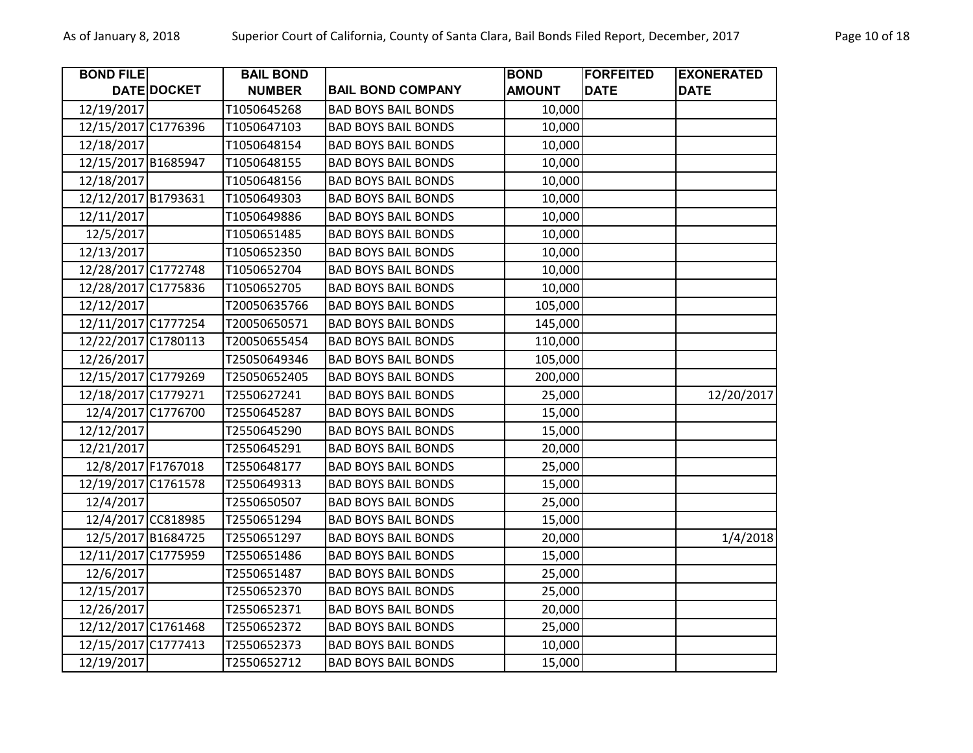| <b>BOND FILE</b>    |                    | <b>BAIL BOND</b> |                            | <b>BOND</b>   | <b>FORFEITED</b> | <b>EXONERATED</b> |
|---------------------|--------------------|------------------|----------------------------|---------------|------------------|-------------------|
|                     | DATE DOCKET        | <b>NUMBER</b>    | <b>BAIL BOND COMPANY</b>   | <b>AMOUNT</b> | <b>DATE</b>      | <b>DATE</b>       |
| 12/19/2017          |                    | T1050645268      | <b>BAD BOYS BAIL BONDS</b> | 10,000        |                  |                   |
| 12/15/2017 C1776396 |                    | T1050647103      | <b>BAD BOYS BAIL BONDS</b> | 10,000        |                  |                   |
| 12/18/2017          |                    | T1050648154      | <b>BAD BOYS BAIL BONDS</b> | 10,000        |                  |                   |
| 12/15/2017 B1685947 |                    | T1050648155      | <b>BAD BOYS BAIL BONDS</b> | 10,000        |                  |                   |
| 12/18/2017          |                    | T1050648156      | <b>BAD BOYS BAIL BONDS</b> | 10,000        |                  |                   |
| 12/12/2017 B1793631 |                    | T1050649303      | <b>BAD BOYS BAIL BONDS</b> | 10,000        |                  |                   |
| 12/11/2017          |                    | T1050649886      | <b>BAD BOYS BAIL BONDS</b> | 10,000        |                  |                   |
| 12/5/2017           |                    | T1050651485      | <b>BAD BOYS BAIL BONDS</b> | 10,000        |                  |                   |
| 12/13/2017          |                    | T1050652350      | <b>BAD BOYS BAIL BONDS</b> | 10,000        |                  |                   |
| 12/28/2017 C1772748 |                    | T1050652704      | <b>BAD BOYS BAIL BONDS</b> | 10,000        |                  |                   |
| 12/28/2017 C1775836 |                    | T1050652705      | <b>BAD BOYS BAIL BONDS</b> | 10,000        |                  |                   |
| 12/12/2017          |                    | T20050635766     | <b>BAD BOYS BAIL BONDS</b> | 105,000       |                  |                   |
| 12/11/2017 C1777254 |                    | T20050650571     | <b>BAD BOYS BAIL BONDS</b> | 145,000       |                  |                   |
| 12/22/2017 C1780113 |                    | T20050655454     | <b>BAD BOYS BAIL BONDS</b> | 110,000       |                  |                   |
| 12/26/2017          |                    | T25050649346     | <b>BAD BOYS BAIL BONDS</b> | 105,000       |                  |                   |
| 12/15/2017 C1779269 |                    | T25050652405     | <b>BAD BOYS BAIL BONDS</b> | 200,000       |                  |                   |
| 12/18/2017 C1779271 |                    | T2550627241      | <b>BAD BOYS BAIL BONDS</b> | 25,000        |                  | 12/20/2017        |
|                     | 12/4/2017 C1776700 | T2550645287      | <b>BAD BOYS BAIL BONDS</b> | 15,000        |                  |                   |
| 12/12/2017          |                    | T2550645290      | <b>BAD BOYS BAIL BONDS</b> | 15,000        |                  |                   |
| 12/21/2017          |                    | T2550645291      | <b>BAD BOYS BAIL BONDS</b> | 20,000        |                  |                   |
| 12/8/2017 F1767018  |                    | T2550648177      | <b>BAD BOYS BAIL BONDS</b> | 25,000        |                  |                   |
| 12/19/2017 C1761578 |                    | T2550649313      | <b>BAD BOYS BAIL BONDS</b> | 15,000        |                  |                   |
| 12/4/2017           |                    | T2550650507      | <b>BAD BOYS BAIL BONDS</b> | 25,000        |                  |                   |
|                     | 12/4/2017 CC818985 | T2550651294      | <b>BAD BOYS BAIL BONDS</b> | 15,000        |                  |                   |
|                     | 12/5/2017 B1684725 | T2550651297      | <b>BAD BOYS BAIL BONDS</b> | 20,000        |                  | 1/4/2018          |
| 12/11/2017 C1775959 |                    | T2550651486      | <b>BAD BOYS BAIL BONDS</b> | 15,000        |                  |                   |
| 12/6/2017           |                    | T2550651487      | <b>BAD BOYS BAIL BONDS</b> | 25,000        |                  |                   |
| 12/15/2017          |                    | T2550652370      | <b>BAD BOYS BAIL BONDS</b> | 25,000        |                  |                   |
| 12/26/2017          |                    | T2550652371      | <b>BAD BOYS BAIL BONDS</b> | 20,000        |                  |                   |
| 12/12/2017 C1761468 |                    | T2550652372      | <b>BAD BOYS BAIL BONDS</b> | 25,000        |                  |                   |
| 12/15/2017 C1777413 |                    | T2550652373      | <b>BAD BOYS BAIL BONDS</b> | 10,000        |                  |                   |
| 12/19/2017          |                    | T2550652712      | <b>BAD BOYS BAIL BONDS</b> | 15,000        |                  |                   |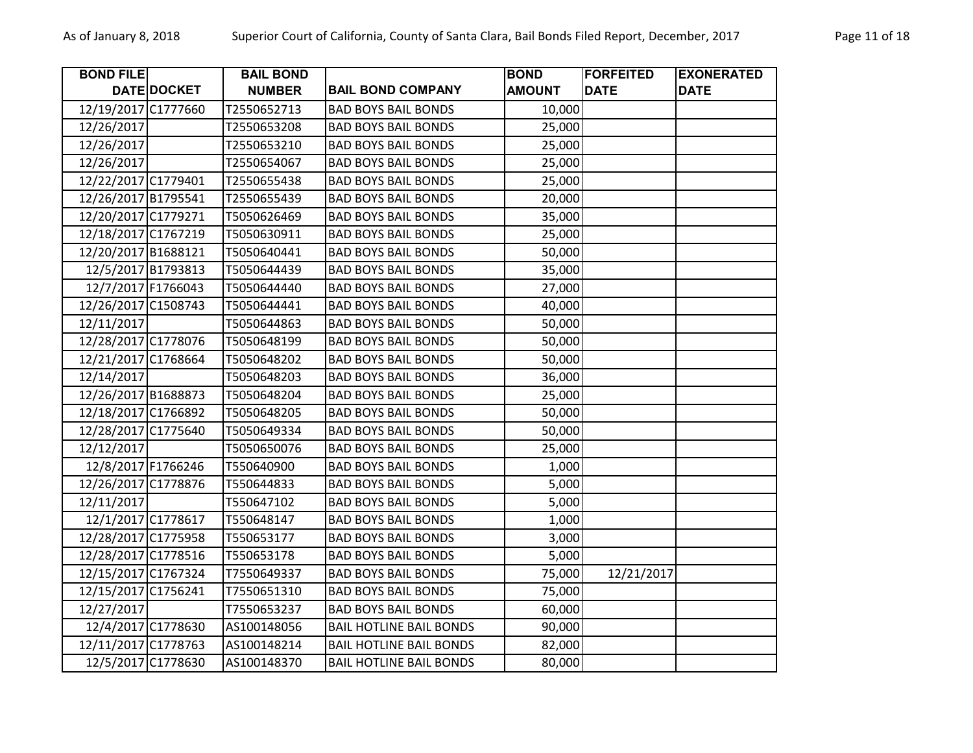| <b>BOND FILE</b>    |             | <b>BAIL BOND</b> |                                | <b>BOND</b>   | <b>FORFEITED</b> | <b>EXONERATED</b> |
|---------------------|-------------|------------------|--------------------------------|---------------|------------------|-------------------|
|                     | DATE DOCKET | <b>NUMBER</b>    | <b>BAIL BOND COMPANY</b>       | <b>AMOUNT</b> | <b>DATE</b>      | <b>DATE</b>       |
| 12/19/2017 C1777660 |             | T2550652713      | <b>BAD BOYS BAIL BONDS</b>     | 10,000        |                  |                   |
| 12/26/2017          |             | T2550653208      | <b>BAD BOYS BAIL BONDS</b>     | 25,000        |                  |                   |
| 12/26/2017          |             | T2550653210      | <b>BAD BOYS BAIL BONDS</b>     | 25,000        |                  |                   |
| 12/26/2017          |             | T2550654067      | <b>BAD BOYS BAIL BONDS</b>     | 25,000        |                  |                   |
| 12/22/2017 C1779401 |             | T2550655438      | <b>BAD BOYS BAIL BONDS</b>     | 25,000        |                  |                   |
| 12/26/2017 B1795541 |             | T2550655439      | <b>BAD BOYS BAIL BONDS</b>     | 20,000        |                  |                   |
| 12/20/2017 C1779271 |             | T5050626469      | <b>BAD BOYS BAIL BONDS</b>     | 35,000        |                  |                   |
| 12/18/2017 C1767219 |             | T5050630911      | <b>BAD BOYS BAIL BONDS</b>     | 25,000        |                  |                   |
| 12/20/2017 B1688121 |             | T5050640441      | <b>BAD BOYS BAIL BONDS</b>     | 50,000        |                  |                   |
| 12/5/2017 B1793813  |             | T5050644439      | <b>BAD BOYS BAIL BONDS</b>     | 35,000        |                  |                   |
| 12/7/2017 F1766043  |             | T5050644440      | <b>BAD BOYS BAIL BONDS</b>     | 27,000        |                  |                   |
| 12/26/2017 C1508743 |             | T5050644441      | <b>BAD BOYS BAIL BONDS</b>     | 40,000        |                  |                   |
| 12/11/2017          |             | T5050644863      | <b>BAD BOYS BAIL BONDS</b>     | 50,000        |                  |                   |
| 12/28/2017 C1778076 |             | T5050648199      | <b>BAD BOYS BAIL BONDS</b>     | 50,000        |                  |                   |
| 12/21/2017 C1768664 |             | T5050648202      | <b>BAD BOYS BAIL BONDS</b>     | 50,000        |                  |                   |
| 12/14/2017          |             | T5050648203      | <b>BAD BOYS BAIL BONDS</b>     | 36,000        |                  |                   |
| 12/26/2017 B1688873 |             | T5050648204      | <b>BAD BOYS BAIL BONDS</b>     | 25,000        |                  |                   |
| 12/18/2017 C1766892 |             | T5050648205      | <b>BAD BOYS BAIL BONDS</b>     | 50,000        |                  |                   |
| 12/28/2017 C1775640 |             | T5050649334      | <b>BAD BOYS BAIL BONDS</b>     | 50,000        |                  |                   |
| 12/12/2017          |             | T5050650076      | <b>BAD BOYS BAIL BONDS</b>     | 25,000        |                  |                   |
| 12/8/2017 F1766246  |             | T550640900       | <b>BAD BOYS BAIL BONDS</b>     | 1,000         |                  |                   |
| 12/26/2017 C1778876 |             | T550644833       | <b>BAD BOYS BAIL BONDS</b>     | 5,000         |                  |                   |
| 12/11/2017          |             | T550647102       | <b>BAD BOYS BAIL BONDS</b>     | 5,000         |                  |                   |
| 12/1/2017 C1778617  |             | T550648147       | <b>BAD BOYS BAIL BONDS</b>     | 1,000         |                  |                   |
| 12/28/2017 C1775958 |             | T550653177       | <b>BAD BOYS BAIL BONDS</b>     | 3,000         |                  |                   |
| 12/28/2017 C1778516 |             | T550653178       | <b>BAD BOYS BAIL BONDS</b>     | 5,000         |                  |                   |
| 12/15/2017 C1767324 |             | T7550649337      | <b>BAD BOYS BAIL BONDS</b>     | 75,000        | 12/21/2017       |                   |
| 12/15/2017 C1756241 |             | T7550651310      | <b>BAD BOYS BAIL BONDS</b>     | 75,000        |                  |                   |
| 12/27/2017          |             | T7550653237      | <b>BAD BOYS BAIL BONDS</b>     | 60,000        |                  |                   |
| 12/4/2017 C1778630  |             | AS100148056      | <b>BAIL HOTLINE BAIL BONDS</b> | 90,000        |                  |                   |
| 12/11/2017 C1778763 |             | AS100148214      | <b>BAIL HOTLINE BAIL BONDS</b> | 82,000        |                  |                   |
| 12/5/2017 C1778630  |             | AS100148370      | <b>BAIL HOTLINE BAIL BONDS</b> | 80,000        |                  |                   |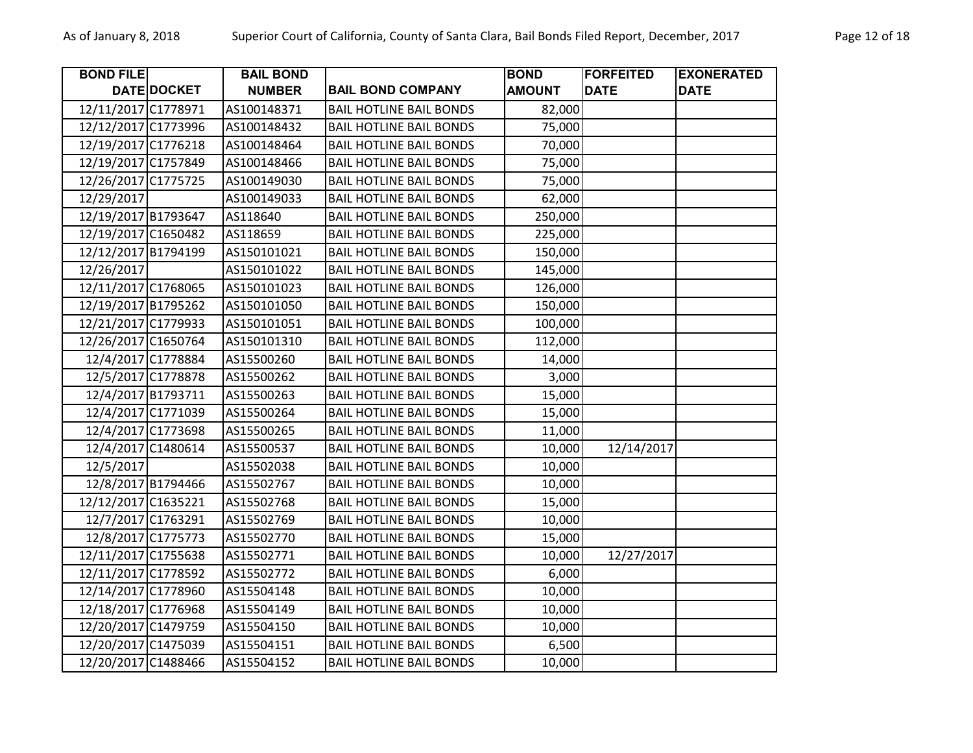| <b>BOND FILE</b>    |                    | <b>BAIL BOND</b> |                                | <b>BOND</b>   | <b>FORFEITED</b> | <b>EXONERATED</b> |
|---------------------|--------------------|------------------|--------------------------------|---------------|------------------|-------------------|
|                     | <b>DATE DOCKET</b> | <b>NUMBER</b>    | <b>BAIL BOND COMPANY</b>       | <b>AMOUNT</b> | <b>DATE</b>      | <b>DATE</b>       |
| 12/11/2017 C1778971 |                    | AS100148371      | <b>BAIL HOTLINE BAIL BONDS</b> | 82,000        |                  |                   |
| 12/12/2017 C1773996 |                    | AS100148432      | <b>BAIL HOTLINE BAIL BONDS</b> | 75,000        |                  |                   |
| 12/19/2017 C1776218 |                    | AS100148464      | <b>BAIL HOTLINE BAIL BONDS</b> | 70,000        |                  |                   |
| 12/19/2017 C1757849 |                    | AS100148466      | <b>BAIL HOTLINE BAIL BONDS</b> | 75,000        |                  |                   |
| 12/26/2017 C1775725 |                    | AS100149030      | <b>BAIL HOTLINE BAIL BONDS</b> | 75,000        |                  |                   |
| 12/29/2017          |                    | AS100149033      | <b>BAIL HOTLINE BAIL BONDS</b> | 62,000        |                  |                   |
| 12/19/2017 B1793647 |                    | AS118640         | <b>BAIL HOTLINE BAIL BONDS</b> | 250,000       |                  |                   |
| 12/19/2017 C1650482 |                    | AS118659         | <b>BAIL HOTLINE BAIL BONDS</b> | 225,000       |                  |                   |
| 12/12/2017 B1794199 |                    | AS150101021      | <b>BAIL HOTLINE BAIL BONDS</b> | 150,000       |                  |                   |
| 12/26/2017          |                    | AS150101022      | <b>BAIL HOTLINE BAIL BONDS</b> | 145,000       |                  |                   |
| 12/11/2017 C1768065 |                    | AS150101023      | <b>BAIL HOTLINE BAIL BONDS</b> | 126,000       |                  |                   |
| 12/19/2017 B1795262 |                    | AS150101050      | <b>BAIL HOTLINE BAIL BONDS</b> | 150,000       |                  |                   |
| 12/21/2017 C1779933 |                    | AS150101051      | <b>BAIL HOTLINE BAIL BONDS</b> | 100,000       |                  |                   |
| 12/26/2017 C1650764 |                    | AS150101310      | <b>BAIL HOTLINE BAIL BONDS</b> | 112,000       |                  |                   |
| 12/4/2017 C1778884  |                    | AS15500260       | <b>BAIL HOTLINE BAIL BONDS</b> | 14,000        |                  |                   |
| 12/5/2017 C1778878  |                    | AS15500262       | <b>BAIL HOTLINE BAIL BONDS</b> | 3,000         |                  |                   |
| 12/4/2017 B1793711  |                    | AS15500263       | <b>BAIL HOTLINE BAIL BONDS</b> | 15,000        |                  |                   |
| 12/4/2017 C1771039  |                    | AS15500264       | <b>BAIL HOTLINE BAIL BONDS</b> | 15,000        |                  |                   |
| 12/4/2017 C1773698  |                    | AS15500265       | <b>BAIL HOTLINE BAIL BONDS</b> | 11,000        |                  |                   |
| 12/4/2017 C1480614  |                    | AS15500537       | <b>BAIL HOTLINE BAIL BONDS</b> | 10,000        | 12/14/2017       |                   |
| 12/5/2017           |                    | AS15502038       | <b>BAIL HOTLINE BAIL BONDS</b> | 10,000        |                  |                   |
| 12/8/2017 B1794466  |                    | AS15502767       | <b>BAIL HOTLINE BAIL BONDS</b> | 10,000        |                  |                   |
| 12/12/2017 C1635221 |                    | AS15502768       | <b>BAIL HOTLINE BAIL BONDS</b> | 15,000        |                  |                   |
| 12/7/2017 C1763291  |                    | AS15502769       | <b>BAIL HOTLINE BAIL BONDS</b> | 10,000        |                  |                   |
| 12/8/2017 C1775773  |                    | AS15502770       | <b>BAIL HOTLINE BAIL BONDS</b> | 15,000        |                  |                   |
| 12/11/2017 C1755638 |                    | AS15502771       | <b>BAIL HOTLINE BAIL BONDS</b> | 10,000        | 12/27/2017       |                   |
| 12/11/2017 C1778592 |                    | AS15502772       | <b>BAIL HOTLINE BAIL BONDS</b> | 6,000         |                  |                   |
| 12/14/2017 C1778960 |                    | AS15504148       | <b>BAIL HOTLINE BAIL BONDS</b> | 10,000        |                  |                   |
| 12/18/2017 C1776968 |                    | AS15504149       | <b>BAIL HOTLINE BAIL BONDS</b> | 10,000        |                  |                   |
| 12/20/2017 C1479759 |                    | AS15504150       | <b>BAIL HOTLINE BAIL BONDS</b> | 10,000        |                  |                   |
| 12/20/2017 C1475039 |                    | AS15504151       | <b>BAIL HOTLINE BAIL BONDS</b> | 6,500         |                  |                   |
| 12/20/2017 C1488466 |                    | AS15504152       | <b>BAIL HOTLINE BAIL BONDS</b> | 10,000        |                  |                   |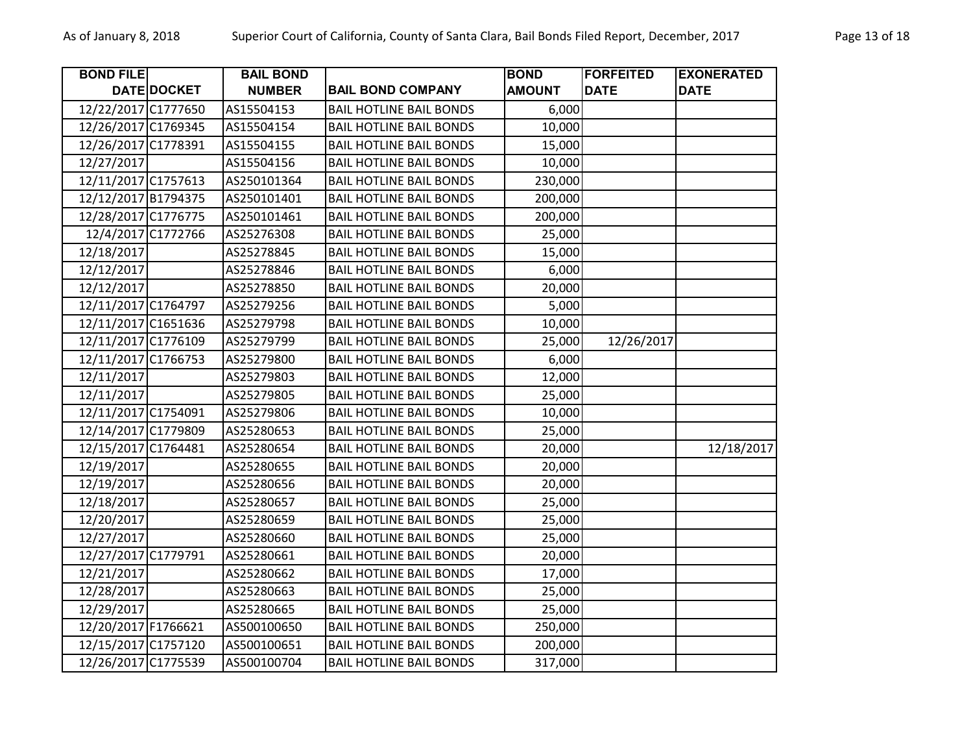| <b>BOND FILE</b>    |             | <b>BAIL BOND</b> |                                | <b>BOND</b>   | <b>FORFEITED</b> | <b>EXONERATED</b> |
|---------------------|-------------|------------------|--------------------------------|---------------|------------------|-------------------|
|                     | DATE DOCKET | <b>NUMBER</b>    | <b>BAIL BOND COMPANY</b>       | <b>AMOUNT</b> | <b>DATE</b>      | <b>DATE</b>       |
| 12/22/2017 C1777650 |             | AS15504153       | <b>BAIL HOTLINE BAIL BONDS</b> | 6,000         |                  |                   |
| 12/26/2017 C1769345 |             | AS15504154       | <b>BAIL HOTLINE BAIL BONDS</b> | 10,000        |                  |                   |
| 12/26/2017 C1778391 |             | AS15504155       | <b>BAIL HOTLINE BAIL BONDS</b> | 15,000        |                  |                   |
| 12/27/2017          |             | AS15504156       | <b>BAIL HOTLINE BAIL BONDS</b> | 10,000        |                  |                   |
| 12/11/2017 C1757613 |             | AS250101364      | <b>BAIL HOTLINE BAIL BONDS</b> | 230,000       |                  |                   |
| 12/12/2017 B1794375 |             | AS250101401      | <b>BAIL HOTLINE BAIL BONDS</b> | 200,000       |                  |                   |
| 12/28/2017 C1776775 |             | AS250101461      | <b>BAIL HOTLINE BAIL BONDS</b> | 200,000       |                  |                   |
| 12/4/2017 C1772766  |             | AS25276308       | <b>BAIL HOTLINE BAIL BONDS</b> | 25,000        |                  |                   |
| 12/18/2017          |             | AS25278845       | <b>BAIL HOTLINE BAIL BONDS</b> | 15,000        |                  |                   |
| 12/12/2017          |             | AS25278846       | <b>BAIL HOTLINE BAIL BONDS</b> | 6,000         |                  |                   |
| 12/12/2017          |             | AS25278850       | <b>BAIL HOTLINE BAIL BONDS</b> | 20,000        |                  |                   |
| 12/11/2017 C1764797 |             | AS25279256       | <b>BAIL HOTLINE BAIL BONDS</b> | 5,000         |                  |                   |
| 12/11/2017 C1651636 |             | AS25279798       | <b>BAIL HOTLINE BAIL BONDS</b> | 10,000        |                  |                   |
| 12/11/2017 C1776109 |             | AS25279799       | <b>BAIL HOTLINE BAIL BONDS</b> | 25,000        | 12/26/2017       |                   |
| 12/11/2017 C1766753 |             | AS25279800       | <b>BAIL HOTLINE BAIL BONDS</b> | 6,000         |                  |                   |
| 12/11/2017          |             | AS25279803       | <b>BAIL HOTLINE BAIL BONDS</b> | 12,000        |                  |                   |
| 12/11/2017          |             | AS25279805       | <b>BAIL HOTLINE BAIL BONDS</b> | 25,000        |                  |                   |
| 12/11/2017 C1754091 |             | AS25279806       | <b>BAIL HOTLINE BAIL BONDS</b> | 10,000        |                  |                   |
| 12/14/2017 C1779809 |             | AS25280653       | <b>BAIL HOTLINE BAIL BONDS</b> | 25,000        |                  |                   |
| 12/15/2017 C1764481 |             | AS25280654       | <b>BAIL HOTLINE BAIL BONDS</b> | 20,000        |                  | 12/18/2017        |
| 12/19/2017          |             | AS25280655       | <b>BAIL HOTLINE BAIL BONDS</b> | 20,000        |                  |                   |
| 12/19/2017          |             | AS25280656       | <b>BAIL HOTLINE BAIL BONDS</b> | 20,000        |                  |                   |
| 12/18/2017          |             | AS25280657       | <b>BAIL HOTLINE BAIL BONDS</b> | 25,000        |                  |                   |
| 12/20/2017          |             | AS25280659       | <b>BAIL HOTLINE BAIL BONDS</b> | 25,000        |                  |                   |
| 12/27/2017          |             | AS25280660       | <b>BAIL HOTLINE BAIL BONDS</b> | 25,000        |                  |                   |
| 12/27/2017 C1779791 |             | AS25280661       | <b>BAIL HOTLINE BAIL BONDS</b> | 20,000        |                  |                   |
| 12/21/2017          |             | AS25280662       | <b>BAIL HOTLINE BAIL BONDS</b> | 17,000        |                  |                   |
| 12/28/2017          |             | AS25280663       | <b>BAIL HOTLINE BAIL BONDS</b> | 25,000        |                  |                   |
| 12/29/2017          |             | AS25280665       | <b>BAIL HOTLINE BAIL BONDS</b> | 25,000        |                  |                   |
| 12/20/2017 F1766621 |             | AS500100650      | <b>BAIL HOTLINE BAIL BONDS</b> | 250,000       |                  |                   |
| 12/15/2017 C1757120 |             | AS500100651      | <b>BAIL HOTLINE BAIL BONDS</b> | 200,000       |                  |                   |
| 12/26/2017 C1775539 |             | AS500100704      | <b>BAIL HOTLINE BAIL BONDS</b> | 317,000       |                  |                   |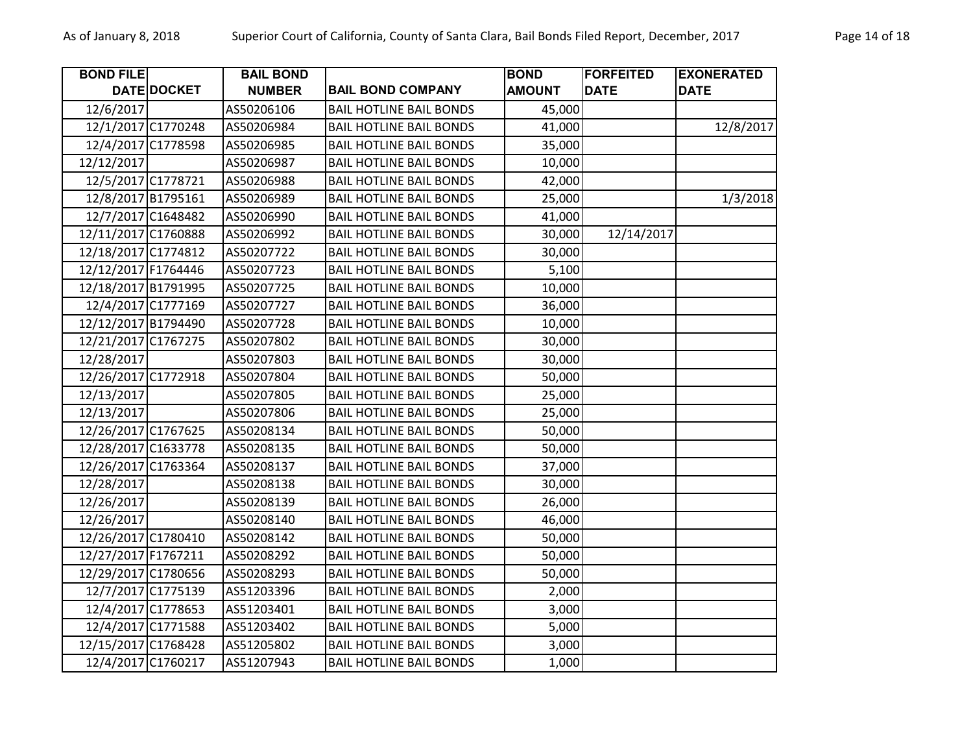| <b>BOND FILE</b>    |                    | <b>BAIL BOND</b> |                                | <b>BOND</b>   | <b>FORFEITED</b> | <b>EXONERATED</b> |
|---------------------|--------------------|------------------|--------------------------------|---------------|------------------|-------------------|
|                     | DATE DOCKET        | <b>NUMBER</b>    | <b>BAIL BOND COMPANY</b>       | <b>AMOUNT</b> | <b>DATE</b>      | <b>DATE</b>       |
| 12/6/2017           |                    | AS50206106       | <b>BAIL HOTLINE BAIL BONDS</b> | 45,000        |                  |                   |
|                     | 12/1/2017 C1770248 | AS50206984       | <b>BAIL HOTLINE BAIL BONDS</b> | 41,000        |                  | 12/8/2017         |
|                     | 12/4/2017 C1778598 | AS50206985       | <b>BAIL HOTLINE BAIL BONDS</b> | 35,000        |                  |                   |
| 12/12/2017          |                    | AS50206987       | <b>BAIL HOTLINE BAIL BONDS</b> | 10,000        |                  |                   |
|                     | 12/5/2017 C1778721 | AS50206988       | <b>BAIL HOTLINE BAIL BONDS</b> | 42,000        |                  |                   |
| 12/8/2017 B1795161  |                    | AS50206989       | <b>BAIL HOTLINE BAIL BONDS</b> | 25,000        |                  | 1/3/2018          |
|                     | 12/7/2017 C1648482 | AS50206990       | <b>BAIL HOTLINE BAIL BONDS</b> | 41,000        |                  |                   |
| 12/11/2017 C1760888 |                    | AS50206992       | <b>BAIL HOTLINE BAIL BONDS</b> | 30,000        | 12/14/2017       |                   |
| 12/18/2017 C1774812 |                    | AS50207722       | <b>BAIL HOTLINE BAIL BONDS</b> | 30,000        |                  |                   |
| 12/12/2017 F1764446 |                    | AS50207723       | <b>BAIL HOTLINE BAIL BONDS</b> | 5,100         |                  |                   |
| 12/18/2017 B1791995 |                    | AS50207725       | <b>BAIL HOTLINE BAIL BONDS</b> | 10,000        |                  |                   |
|                     | 12/4/2017 C1777169 | AS50207727       | <b>BAIL HOTLINE BAIL BONDS</b> | 36,000        |                  |                   |
| 12/12/2017 B1794490 |                    | AS50207728       | <b>BAIL HOTLINE BAIL BONDS</b> | 10,000        |                  |                   |
| 12/21/2017 C1767275 |                    | AS50207802       | <b>BAIL HOTLINE BAIL BONDS</b> | 30,000        |                  |                   |
| 12/28/2017          |                    | AS50207803       | <b>BAIL HOTLINE BAIL BONDS</b> | 30,000        |                  |                   |
| 12/26/2017 C1772918 |                    | AS50207804       | <b>BAIL HOTLINE BAIL BONDS</b> | 50,000        |                  |                   |
| 12/13/2017          |                    | AS50207805       | <b>BAIL HOTLINE BAIL BONDS</b> | 25,000        |                  |                   |
| 12/13/2017          |                    | AS50207806       | <b>BAIL HOTLINE BAIL BONDS</b> | 25,000        |                  |                   |
| 12/26/2017 C1767625 |                    | AS50208134       | <b>BAIL HOTLINE BAIL BONDS</b> | 50,000        |                  |                   |
| 12/28/2017 C1633778 |                    | AS50208135       | <b>BAIL HOTLINE BAIL BONDS</b> | 50,000        |                  |                   |
| 12/26/2017 C1763364 |                    | AS50208137       | <b>BAIL HOTLINE BAIL BONDS</b> | 37,000        |                  |                   |
| 12/28/2017          |                    | AS50208138       | <b>BAIL HOTLINE BAIL BONDS</b> | 30,000        |                  |                   |
| 12/26/2017          |                    | AS50208139       | <b>BAIL HOTLINE BAIL BONDS</b> | 26,000        |                  |                   |
| 12/26/2017          |                    | AS50208140       | <b>BAIL HOTLINE BAIL BONDS</b> | 46,000        |                  |                   |
| 12/26/2017 C1780410 |                    | AS50208142       | <b>BAIL HOTLINE BAIL BONDS</b> | 50,000        |                  |                   |
| 12/27/2017 F1767211 |                    | AS50208292       | <b>BAIL HOTLINE BAIL BONDS</b> | 50,000        |                  |                   |
| 12/29/2017 C1780656 |                    | AS50208293       | <b>BAIL HOTLINE BAIL BONDS</b> | 50,000        |                  |                   |
|                     | 12/7/2017 C1775139 | AS51203396       | <b>BAIL HOTLINE BAIL BONDS</b> | 2,000         |                  |                   |
|                     | 12/4/2017 C1778653 | AS51203401       | <b>BAIL HOTLINE BAIL BONDS</b> | 3,000         |                  |                   |
|                     | 12/4/2017 C1771588 | AS51203402       | <b>BAIL HOTLINE BAIL BONDS</b> | 5,000         |                  |                   |
| 12/15/2017 C1768428 |                    | AS51205802       | <b>BAIL HOTLINE BAIL BONDS</b> | 3,000         |                  |                   |
|                     | 12/4/2017 C1760217 | AS51207943       | <b>BAIL HOTLINE BAIL BONDS</b> | 1,000         |                  |                   |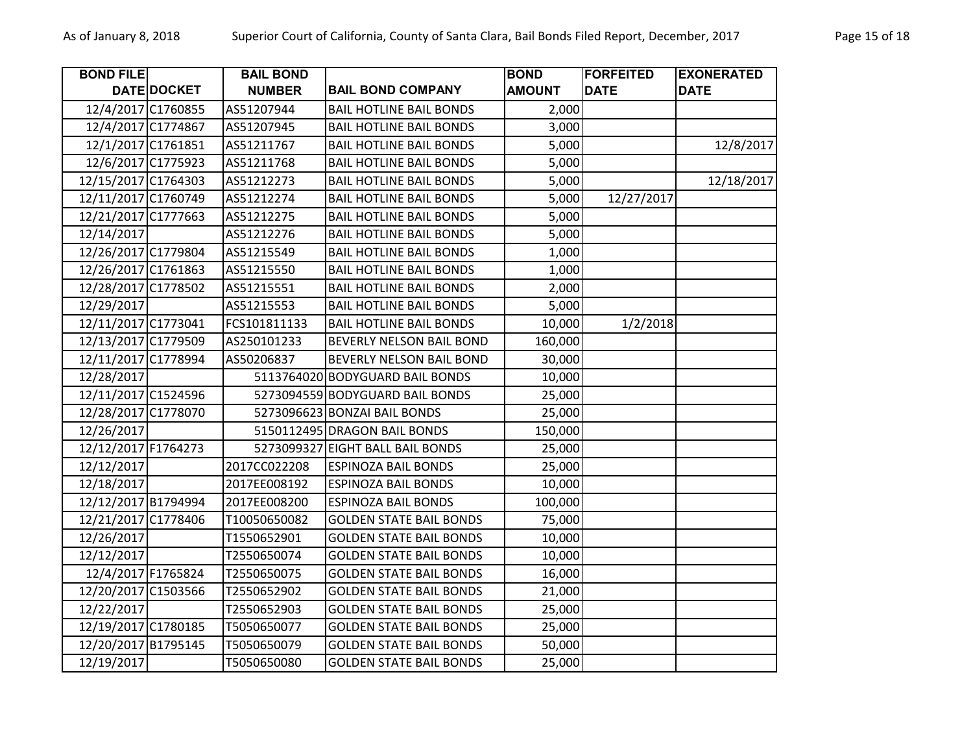| <b>BOND FILE</b>    |             | <b>BAIL BOND</b> |                                 | <b>BOND</b>   | <b>FORFEITED</b> | <b>EXONERATED</b> |
|---------------------|-------------|------------------|---------------------------------|---------------|------------------|-------------------|
|                     | DATE DOCKET | <b>NUMBER</b>    | <b>BAIL BOND COMPANY</b>        | <b>AMOUNT</b> | <b>DATE</b>      | <b>DATE</b>       |
| 12/4/2017 C1760855  |             | AS51207944       | <b>BAIL HOTLINE BAIL BONDS</b>  | 2,000         |                  |                   |
| 12/4/2017 C1774867  |             | AS51207945       | <b>BAIL HOTLINE BAIL BONDS</b>  | 3,000         |                  |                   |
| 12/1/2017 C1761851  |             | AS51211767       | <b>BAIL HOTLINE BAIL BONDS</b>  | 5,000         |                  | 12/8/2017         |
| 12/6/2017 C1775923  |             | AS51211768       | <b>BAIL HOTLINE BAIL BONDS</b>  | 5,000         |                  |                   |
| 12/15/2017 C1764303 |             | AS51212273       | <b>BAIL HOTLINE BAIL BONDS</b>  | 5,000         |                  | 12/18/2017        |
| 12/11/2017 C1760749 |             | AS51212274       | <b>BAIL HOTLINE BAIL BONDS</b>  | 5,000         | 12/27/2017       |                   |
| 12/21/2017 C1777663 |             | AS51212275       | <b>BAIL HOTLINE BAIL BONDS</b>  | 5,000         |                  |                   |
| 12/14/2017          |             | AS51212276       | <b>BAIL HOTLINE BAIL BONDS</b>  | 5,000         |                  |                   |
| 12/26/2017 C1779804 |             | AS51215549       | <b>BAIL HOTLINE BAIL BONDS</b>  | 1,000         |                  |                   |
| 12/26/2017 C1761863 |             | AS51215550       | <b>BAIL HOTLINE BAIL BONDS</b>  | 1,000         |                  |                   |
| 12/28/2017 C1778502 |             | AS51215551       | <b>BAIL HOTLINE BAIL BONDS</b>  | 2,000         |                  |                   |
| 12/29/2017          |             | AS51215553       | <b>BAIL HOTLINE BAIL BONDS</b>  | 5,000         |                  |                   |
| 12/11/2017 C1773041 |             | FCS101811133     | <b>BAIL HOTLINE BAIL BONDS</b>  | 10,000        | 1/2/2018         |                   |
| 12/13/2017 C1779509 |             | AS250101233      | BEVERLY NELSON BAIL BOND        | 160,000       |                  |                   |
| 12/11/2017 C1778994 |             | AS50206837       | BEVERLY NELSON BAIL BOND        | 30,000        |                  |                   |
| 12/28/2017          |             |                  | 5113764020 BODYGUARD BAIL BONDS | 10,000        |                  |                   |
| 12/11/2017 C1524596 |             |                  | 5273094559 BODYGUARD BAIL BONDS | 25,000        |                  |                   |
| 12/28/2017 C1778070 |             |                  | 5273096623 BONZAI BAIL BONDS    | 25,000        |                  |                   |
| 12/26/2017          |             |                  | 5150112495 DRAGON BAIL BONDS    | 150,000       |                  |                   |
| 12/12/2017 F1764273 |             | 5273099327       | <b>EIGHT BALL BAIL BONDS</b>    | 25,000        |                  |                   |
| 12/12/2017          |             | 2017CC022208     | <b>ESPINOZA BAIL BONDS</b>      | 25,000        |                  |                   |
| 12/18/2017          |             | 2017EE008192     | <b>ESPINOZA BAIL BONDS</b>      | 10,000        |                  |                   |
| 12/12/2017 B1794994 |             | 2017EE008200     | <b>ESPINOZA BAIL BONDS</b>      | 100,000       |                  |                   |
| 12/21/2017 C1778406 |             | T10050650082     | <b>GOLDEN STATE BAIL BONDS</b>  | 75,000        |                  |                   |
| 12/26/2017          |             | T1550652901      | <b>GOLDEN STATE BAIL BONDS</b>  | 10,000        |                  |                   |
| 12/12/2017          |             | T2550650074      | <b>GOLDEN STATE BAIL BONDS</b>  | 10,000        |                  |                   |
| 12/4/2017 F1765824  |             | T2550650075      | <b>GOLDEN STATE BAIL BONDS</b>  | 16,000        |                  |                   |
| 12/20/2017 C1503566 |             | T2550652902      | <b>GOLDEN STATE BAIL BONDS</b>  | 21,000        |                  |                   |
| 12/22/2017          |             | T2550652903      | <b>GOLDEN STATE BAIL BONDS</b>  | 25,000        |                  |                   |
| 12/19/2017 C1780185 |             | T5050650077      | <b>GOLDEN STATE BAIL BONDS</b>  | 25,000        |                  |                   |
| 12/20/2017 B1795145 |             | T5050650079      | <b>GOLDEN STATE BAIL BONDS</b>  | 50,000        |                  |                   |
| 12/19/2017          |             | T5050650080      | <b>GOLDEN STATE BAIL BONDS</b>  | 25,000        |                  |                   |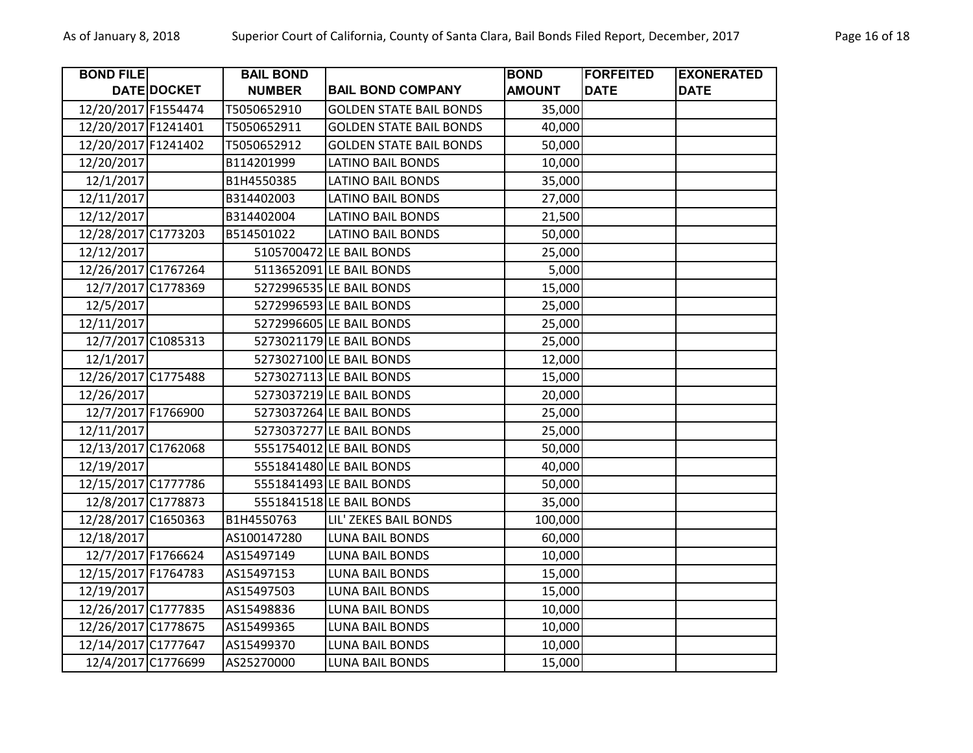| <b>BOND FILE</b>    |             | <b>BAIL BOND</b> |                                | <b>BOND</b>   | <b>FORFEITED</b> | <b>EXONERATED</b> |
|---------------------|-------------|------------------|--------------------------------|---------------|------------------|-------------------|
|                     | DATE DOCKET | <b>NUMBER</b>    | <b>BAIL BOND COMPANY</b>       | <b>AMOUNT</b> | <b>DATE</b>      | <b>DATE</b>       |
| 12/20/2017 F1554474 |             | T5050652910      | <b>GOLDEN STATE BAIL BONDS</b> | 35,000        |                  |                   |
| 12/20/2017 F1241401 |             | T5050652911      | <b>GOLDEN STATE BAIL BONDS</b> | 40,000        |                  |                   |
| 12/20/2017 F1241402 |             | T5050652912      | <b>GOLDEN STATE BAIL BONDS</b> | 50,000        |                  |                   |
| 12/20/2017          |             | B114201999       | <b>LATINO BAIL BONDS</b>       | 10,000        |                  |                   |
| 12/1/2017           |             | B1H4550385       | <b>LATINO BAIL BONDS</b>       | 35,000        |                  |                   |
| 12/11/2017          |             | B314402003       | <b>LATINO BAIL BONDS</b>       | 27,000        |                  |                   |
| 12/12/2017          |             | B314402004       | <b>LATINO BAIL BONDS</b>       | 21,500        |                  |                   |
| 12/28/2017 C1773203 |             | B514501022       | <b>LATINO BAIL BONDS</b>       | 50,000        |                  |                   |
| 12/12/2017          |             |                  | 5105700472 LE BAIL BONDS       | 25,000        |                  |                   |
| 12/26/2017 C1767264 |             |                  | 5113652091 LE BAIL BONDS       | 5,000         |                  |                   |
| 12/7/2017 C1778369  |             |                  | 5272996535 LE BAIL BONDS       | 15,000        |                  |                   |
| 12/5/2017           |             |                  | 5272996593 LE BAIL BONDS       | 25,000        |                  |                   |
| 12/11/2017          |             |                  | 5272996605 LE BAIL BONDS       | 25,000        |                  |                   |
| 12/7/2017 C1085313  |             |                  | 5273021179 LE BAIL BONDS       | 25,000        |                  |                   |
| 12/1/2017           |             |                  | 5273027100 LE BAIL BONDS       | 12,000        |                  |                   |
| 12/26/2017 C1775488 |             |                  | 5273027113 LE BAIL BONDS       | 15,000        |                  |                   |
| 12/26/2017          |             |                  | 5273037219 LE BAIL BONDS       | 20,000        |                  |                   |
| 12/7/2017 F1766900  |             |                  | 5273037264 LE BAIL BONDS       | 25,000        |                  |                   |
| 12/11/2017          |             |                  | 5273037277 LE BAIL BONDS       | 25,000        |                  |                   |
| 12/13/2017 C1762068 |             |                  | 5551754012 LE BAIL BONDS       | 50,000        |                  |                   |
| 12/19/2017          |             |                  | 5551841480 LE BAIL BONDS       | 40,000        |                  |                   |
| 12/15/2017 C1777786 |             |                  | 5551841493 LE BAIL BONDS       | 50,000        |                  |                   |
| 12/8/2017 C1778873  |             |                  | 5551841518 LE BAIL BONDS       | 35,000        |                  |                   |
| 12/28/2017 C1650363 |             | B1H4550763       | LIL' ZEKES BAIL BONDS          | 100,000       |                  |                   |
| 12/18/2017          |             | AS100147280      | <b>LUNA BAIL BONDS</b>         | 60,000        |                  |                   |
| 12/7/2017 F1766624  |             | AS15497149       | <b>LUNA BAIL BONDS</b>         | 10,000        |                  |                   |
| 12/15/2017 F1764783 |             | AS15497153       | <b>LUNA BAIL BONDS</b>         | 15,000        |                  |                   |
| 12/19/2017          |             | AS15497503       | <b>LUNA BAIL BONDS</b>         | 15,000        |                  |                   |
| 12/26/2017 C1777835 |             | AS15498836       | <b>LUNA BAIL BONDS</b>         | 10,000        |                  |                   |
| 12/26/2017 C1778675 |             | AS15499365       | <b>LUNA BAIL BONDS</b>         | 10,000        |                  |                   |
| 12/14/2017 C1777647 |             | AS15499370       | <b>LUNA BAIL BONDS</b>         | 10,000        |                  |                   |
| 12/4/2017 C1776699  |             | AS25270000       | <b>LUNA BAIL BONDS</b>         | 15,000        |                  |                   |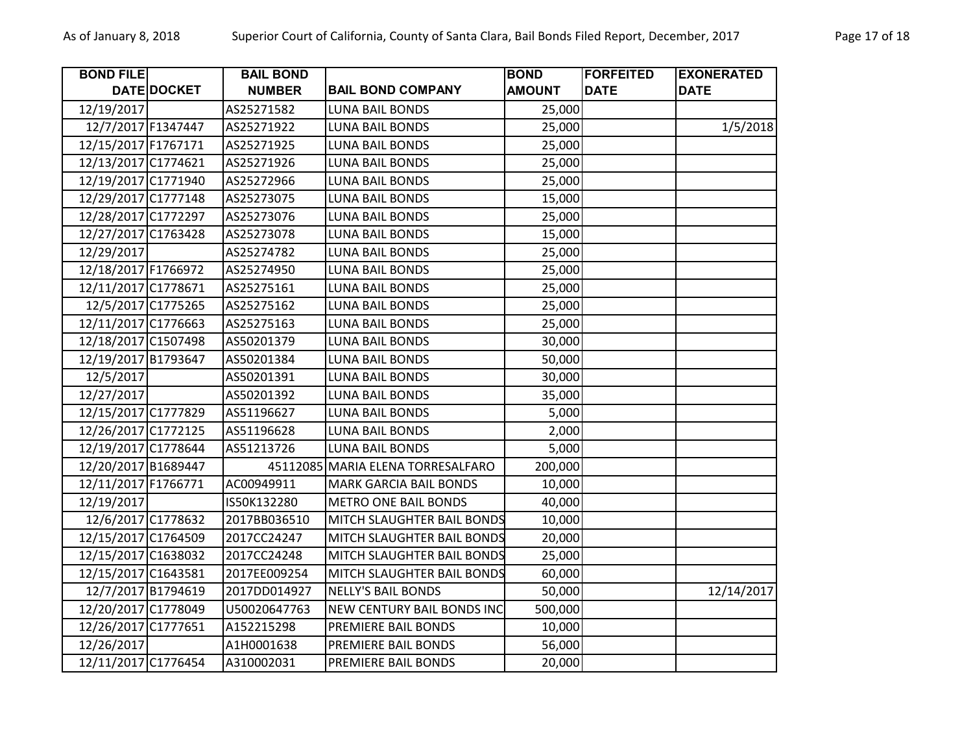| <b>BOND FILE</b>    |             | <b>BAIL BOND</b> |                                   | <b>BOND</b>   | <b>FORFEITED</b> | <b>EXONERATED</b> |
|---------------------|-------------|------------------|-----------------------------------|---------------|------------------|-------------------|
|                     | DATE DOCKET | <b>NUMBER</b>    | <b>BAIL BOND COMPANY</b>          | <b>AMOUNT</b> | <b>DATE</b>      | <b>DATE</b>       |
| 12/19/2017          |             | AS25271582       | <b>LUNA BAIL BONDS</b>            | 25,000        |                  |                   |
| 12/7/2017 F1347447  |             | AS25271922       | <b>LUNA BAIL BONDS</b>            | 25,000        |                  | 1/5/2018          |
| 12/15/2017 F1767171 |             | AS25271925       | <b>LUNA BAIL BONDS</b>            | 25,000        |                  |                   |
| 12/13/2017 C1774621 |             | AS25271926       | LUNA BAIL BONDS                   | 25,000        |                  |                   |
| 12/19/2017 C1771940 |             | AS25272966       | <b>LUNA BAIL BONDS</b>            | 25,000        |                  |                   |
| 12/29/2017 C1777148 |             | AS25273075       | <b>LUNA BAIL BONDS</b>            | 15,000        |                  |                   |
| 12/28/2017 C1772297 |             | AS25273076       | <b>LUNA BAIL BONDS</b>            | 25,000        |                  |                   |
| 12/27/2017 C1763428 |             | AS25273078       | <b>LUNA BAIL BONDS</b>            | 15,000        |                  |                   |
| 12/29/2017          |             | AS25274782       | LUNA BAIL BONDS                   | 25,000        |                  |                   |
| 12/18/2017 F1766972 |             | AS25274950       | <b>LUNA BAIL BONDS</b>            | 25,000        |                  |                   |
| 12/11/2017 C1778671 |             | AS25275161       | <b>LUNA BAIL BONDS</b>            | 25,000        |                  |                   |
| 12/5/2017 C1775265  |             | AS25275162       | <b>LUNA BAIL BONDS</b>            | 25,000        |                  |                   |
| 12/11/2017 C1776663 |             | AS25275163       | <b>LUNA BAIL BONDS</b>            | 25,000        |                  |                   |
| 12/18/2017 C1507498 |             | AS50201379       | <b>LUNA BAIL BONDS</b>            | 30,000        |                  |                   |
| 12/19/2017 B1793647 |             | AS50201384       | <b>LUNA BAIL BONDS</b>            | 50,000        |                  |                   |
| 12/5/2017           |             | AS50201391       | <b>LUNA BAIL BONDS</b>            | 30,000        |                  |                   |
| 12/27/2017          |             | AS50201392       | <b>LUNA BAIL BONDS</b>            | 35,000        |                  |                   |
| 12/15/2017 C1777829 |             | AS51196627       | <b>LUNA BAIL BONDS</b>            | 5,000         |                  |                   |
| 12/26/2017 C1772125 |             | AS51196628       | LUNA BAIL BONDS                   | 2,000         |                  |                   |
| 12/19/2017 C1778644 |             | AS51213726       | <b>LUNA BAIL BONDS</b>            | 5,000         |                  |                   |
| 12/20/2017 B1689447 |             |                  | 45112085 MARIA ELENA TORRESALFARO | 200,000       |                  |                   |
| 12/11/2017 F1766771 |             | AC00949911       | <b>MARK GARCIA BAIL BONDS</b>     | 10,000        |                  |                   |
| 12/19/2017          |             | IS50K132280      | <b>METRO ONE BAIL BONDS</b>       | 40,000        |                  |                   |
| 12/6/2017 C1778632  |             | 2017BB036510     | MITCH SLAUGHTER BAIL BONDS        | 10,000        |                  |                   |
| 12/15/2017 C1764509 |             | 2017CC24247      | MITCH SLAUGHTER BAIL BONDS        | 20,000        |                  |                   |
| 12/15/2017 C1638032 |             | 2017CC24248      | MITCH SLAUGHTER BAIL BONDS        | 25,000        |                  |                   |
| 12/15/2017 C1643581 |             | 2017EE009254     | MITCH SLAUGHTER BAIL BONDS        | 60,000        |                  |                   |
| 12/7/2017 B1794619  |             | 2017DD014927     | <b>NELLY'S BAIL BONDS</b>         | 50,000        |                  | 12/14/2017        |
| 12/20/2017 C1778049 |             | U50020647763     | <b>NEW CENTURY BAIL BONDS INC</b> | 500,000       |                  |                   |
| 12/26/2017 C1777651 |             | A152215298       | PREMIERE BAIL BONDS               | 10,000        |                  |                   |
| 12/26/2017          |             | A1H0001638       | PREMIERE BAIL BONDS               | 56,000        |                  |                   |
| 12/11/2017 C1776454 |             | A310002031       | PREMIERE BAIL BONDS               | 20,000        |                  |                   |